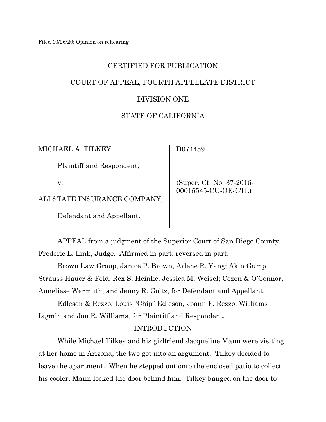# CERTIFIED FOR PUBLICATION COURT OF APPEAL, FOURTH APPELLATE DISTRICT

# DIVISION ONE

# STATE OF CALIFORNIA

MICHAEL A. TILKEY,

D074459

Plaintiff and Respondent,

v.

ALLSTATE INSURANCE COMPANY,

Defendant and Appellant.

 (Super. Ct. No. 37-2016- 00015545-CU-OE-CTL)

APPEAL from a judgment of the Superior Court of San Diego County, Frederic L. Link, Judge. Affirmed in part; reversed in part.

Brown Law Group, Janice P. Brown, Arlene R. Yang; Akin Gump Strauss Hauer & Feld, Rex S. Heinke, Jessica M. Weisel; Cozen & O'Connor, Anneliese Wermuth, and Jenny R. Goltz, for Defendant and Appellant.

Edleson & Rezzo, Louis "Chip" Edleson, Joann F. Rezzo; Williams Iagmin and Jon R. Williams, for Plaintiff and Respondent.

# INTRODUCTION

While Michael Tilkey and his girlfriend Jacqueline Mann were visiting at her home in Arizona, the two got into an argument. Tilkey decided to leave the apartment. When he stepped out onto the enclosed patio to collect his cooler, Mann locked the door behind him. Tilkey banged on the door to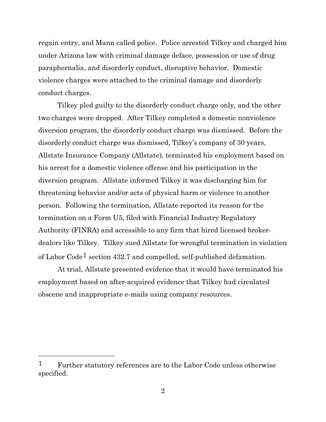regain entry, and Mann called police. Police arrested Tilkey and charged him under Arizona law with criminal damage deface, possession or use of drug paraphernalia, and disorderly conduct, disruptive behavior. Domestic violence charges were attached to the criminal damage and disorderly conduct charges.

Tilkey pled guilty to the disorderly conduct charge only, and the other two charges were dropped. After Tilkey completed a domestic nonviolence diversion program, the disorderly conduct charge was dismissed. Before the disorderly conduct charge was dismissed, Tilkey's company of 30 years, Allstate Insurance Company (Allstate), terminated his employment based on his arrest for a domestic violence offense and his participation in the diversion program. Allstate informed Tilkey it was discharging him for threatening behavior and/or acts of physical harm or violence to another person. Following the termination, Allstate reported its reason for the termination on a Form U5, filed with Financial Industry Regulatory Authority (FINRA) and accessible to any firm that hired licensed brokerdealers like Tilkey. Tilkey sued Allstate for wrongful termination in violation of Labor Code[1](#page-1-0) section 432.7 and compelled, self-published defamation.

At trial, Allstate presented evidence that it would have terminated his employment based on after-acquired evidence that Tilkey had circulated obscene and inappropriate e-mails using company resources.

<span id="page-1-0"></span><sup>&</sup>lt;sup>1</sup> Further statutory references are to the Labor Code unless otherwise specified.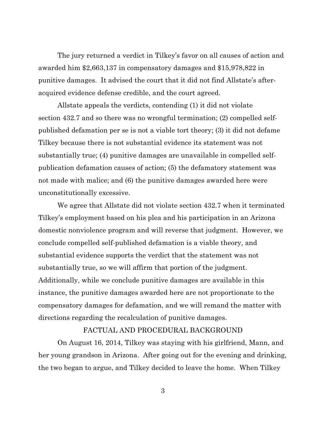The jury returned a verdict in Tilkey's favor on all causes of action and awarded him \$2,663,137 in compensatory damages and \$15,978,822 in punitive damages. It advised the court that it did not find Allstate's afteracquired evidence defense credible, and the court agreed.

Allstate appeals the verdicts, contending (1) it did not violate section 432.7 and so there was no wrongful termination; (2) compelled selfpublished defamation per se is not a viable tort theory; (3) it did not defame Tilkey because there is not substantial evidence its statement was not substantially true; (4) punitive damages are unavailable in compelled selfpublication defamation causes of action; (5) the defamatory statement was not made with malice; and (6) the punitive damages awarded here were unconstitutionally excessive.

We agree that Allstate did not violate section 432.7 when it terminated Tilkey's employment based on his plea and his participation in an Arizona domestic nonviolence program and will reverse that judgment. However, we conclude compelled self-published defamation is a viable theory, and substantial evidence supports the verdict that the statement was not substantially true, so we will affirm that portion of the judgment. Additionally, while we conclude punitive damages are available in this instance, the punitive damages awarded here are not proportionate to the compensatory damages for defamation, and we will remand the matter with directions regarding the recalculation of punitive damages.

## FACTUAL AND PROCEDURAL BACKGROUND

On August 16, 2014, Tilkey was staying with his girlfriend, Mann, and her young grandson in Arizona. After going out for the evening and drinking, the two began to argue, and Tilkey decided to leave the home. When Tilkey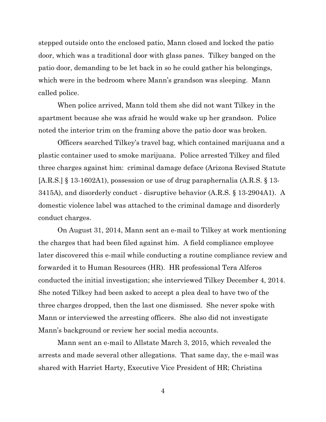stepped outside onto the enclosed patio, Mann closed and locked the patio door, which was a traditional door with glass panes. Tilkey banged on the patio door, demanding to be let back in so he could gather his belongings, which were in the bedroom where Mann's grandson was sleeping. Mann called police.

When police arrived, Mann told them she did not want Tilkey in the apartment because she was afraid he would wake up her grandson. Police noted the interior trim on the framing above the patio door was broken.

Officers searched Tilkey's travel bag, which contained marijuana and a plastic container used to smoke marijuana. Police arrested Tilkey and filed three charges against him: criminal damage deface (Arizona Revised Statute [A.R.S.] § 13-1602A1), possession or use of drug paraphernalia (A.R.S. § 13- 3415A), and disorderly conduct - disruptive behavior (A.R.S. § 13-2904A1). A domestic violence label was attached to the criminal damage and disorderly conduct charges.

On August 31, 2014, Mann sent an e-mail to Tilkey at work mentioning the charges that had been filed against him. A field compliance employee later discovered this e-mail while conducting a routine compliance review and forwarded it to Human Resources (HR). HR professional Tera Alferos conducted the initial investigation; she interviewed Tilkey December 4, 2014. She noted Tilkey had been asked to accept a plea deal to have two of the three charges dropped, then the last one dismissed. She never spoke with Mann or interviewed the arresting officers. She also did not investigate Mann's background or review her social media accounts.

Mann sent an e-mail to Allstate March 3, 2015, which revealed the arrests and made several other allegations. That same day, the e-mail was shared with Harriet Harty, Executive Vice President of HR; Christina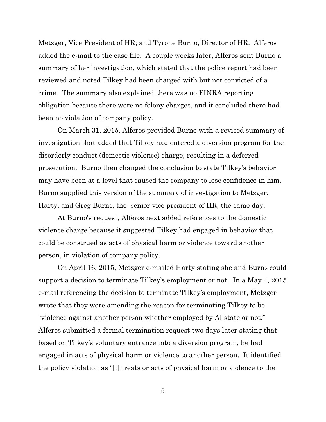Metzger, Vice President of HR; and Tyrone Burno, Director of HR. Alferos added the e-mail to the case file. A couple weeks later, Alferos sent Burno a summary of her investigation, which stated that the police report had been reviewed and noted Tilkey had been charged with but not convicted of a crime. The summary also explained there was no FINRA reporting obligation because there were no felony charges, and it concluded there had been no violation of company policy.

On March 31, 2015, Alferos provided Burno with a revised summary of investigation that added that Tilkey had entered a diversion program for the disorderly conduct (domestic violence) charge, resulting in a deferred prosecution. Burno then changed the conclusion to state Tilkey's behavior may have been at a level that caused the company to lose confidence in him. Burno supplied this version of the summary of investigation to Metzger, Harty, and Greg Burns, the senior vice president of HR, the same day.

At Burno's request, Alferos next added references to the domestic violence charge because it suggested Tilkey had engaged in behavior that could be construed as acts of physical harm or violence toward another person, in violation of company policy.

On April 16, 2015, Metzger e-mailed Harty stating she and Burns could support a decision to terminate Tilkey's employment or not. In a May 4, 2015 e-mail referencing the decision to terminate Tilkey's employment, Metzger wrote that they were amending the reason for terminating Tilkey to be "violence against another person whether employed by Allstate or not." Alferos submitted a formal termination request two days later stating that based on Tilkey's voluntary entrance into a diversion program, he had engaged in acts of physical harm or violence to another person. It identified the policy violation as "[t]hreats or acts of physical harm or violence to the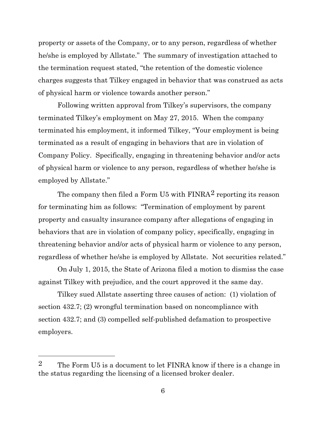property or assets of the Company, or to any person, regardless of whether he/she is employed by Allstate." The summary of investigation attached to the termination request stated, "the retention of the domestic violence charges suggests that Tilkey engaged in behavior that was construed as acts of physical harm or violence towards another person."

Following written approval from Tilkey's supervisors, the company terminated Tilkey's employment on May 27, 2015. When the company terminated his employment, it informed Tilkey, "Your employment is being terminated as a result of engaging in behaviors that are in violation of Company Policy. Specifically, engaging in threatening behavior and/or acts of physical harm or violence to any person, regardless of whether he/she is employed by Allstate."

The company then filed a Form U5 with  $FINRA<sup>2</sup>$  $FINRA<sup>2</sup>$  $FINRA<sup>2</sup>$  reporting its reason for terminating him as follows: "Termination of employment by parent property and casualty insurance company after allegations of engaging in behaviors that are in violation of company policy, specifically, engaging in threatening behavior and/or acts of physical harm or violence to any person, regardless of whether he/she is employed by Allstate. Not securities related."

On July 1, 2015, the State of Arizona filed a motion to dismiss the case against Tilkey with prejudice, and the court approved it the same day.

Tilkey sued Allstate asserting three causes of action: (1) violation of section 432.7; (2) wrongful termination based on noncompliance with section 432.7; and (3) compelled self-published defamation to prospective employers.

<span id="page-5-0"></span><sup>2</sup> The Form U5 is a document to let FINRA know if there is a change in the status regarding the licensing of a licensed broker dealer.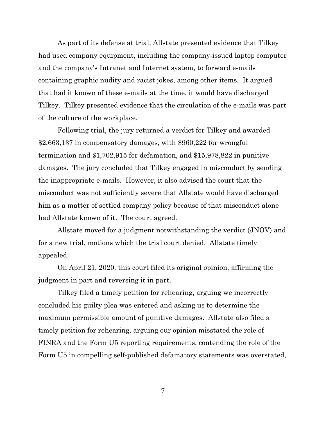As part of its defense at trial, Allstate presented evidence that Tilkey had used company equipment, including the company-issued laptop computer and the company's Intranet and Internet system, to forward e-mails containing graphic nudity and racist jokes, among other items. It argued that had it known of these e-mails at the time, it would have discharged Tilkey. Tilkey presented evidence that the circulation of the e-mails was part of the culture of the workplace.

Following trial, the jury returned a verdict for Tilkey and awarded \$2,663,137 in compensatory damages, with \$960,222 for wrongful termination and \$1,702,915 for defamation, and \$15,978,822 in punitive damages. The jury concluded that Tilkey engaged in misconduct by sending the inappropriate e-mails. However, it also advised the court that the misconduct was not sufficiently severe that Allstate would have discharged him as a matter of settled company policy because of that misconduct alone had Allstate known of it. The court agreed.

Allstate moved for a judgment notwithstanding the verdict (JNOV) and for a new trial, motions which the trial court denied. Allstate timely appealed.

On April 21, 2020, this court filed its original opinion, affirming the judgment in part and reversing it in part.

Tilkey filed a timely petition for rehearing, arguing we incorrectly concluded his guilty plea was entered and asking us to determine the maximum permissible amount of punitive damages. Allstate also filed a timely petition for rehearing, arguing our opinion misstated the role of FINRA and the Form U5 reporting requirements, contending the role of the Form U5 in compelling self-published defamatory statements was overstated,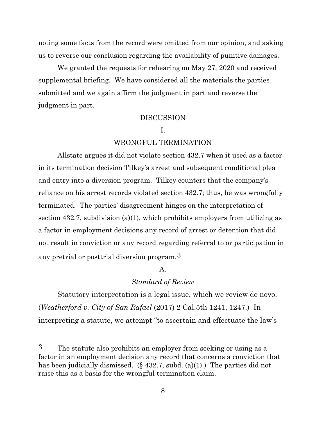noting some facts from the record were omitted from our opinion, and asking us to reverse our conclusion regarding the availability of punitive damages.

We granted the requests for rehearing on May 27, 2020 and received supplemental briefing. We have considered all the materials the parties submitted and we again affirm the judgment in part and reverse the judgment in part.

## DISCUSSION

# I.

#### WRONGFUL TERMINATION

Allstate argues it did not violate section 432.7 when it used as a factor in its termination decision Tilkey's arrest and subsequent conditional plea and entry into a diversion program. Tilkey counters that the company's reliance on his arrest records violated section 432.7; thus, he was wrongfully terminated. The parties' disagreement hinges on the interpretation of section 432.7, subdivision (a)(1), which prohibits employers from utilizing as a factor in employment decisions any record of arrest or detention that did not result in conviction or any record regarding referral to or participation in any pretrial or posttrial diversion program.[3](#page-7-0) 

### A.

### *Standard of Review*

Statutory interpretation is a legal issue, which we review de novo. (*Weatherford v. City of San Rafael* (2017) 2 Cal.5th 1241, 1247.) In interpreting a statute, we attempt "to ascertain and effectuate the law's

<span id="page-7-0"></span><sup>3</sup> The statute also prohibits an employer from seeking or using as a factor in an employment decision any record that concerns a conviction that has been judicially dismissed. (§ 432.7, subd. (a)(1).) The parties did not raise this as a basis for the wrongful termination claim.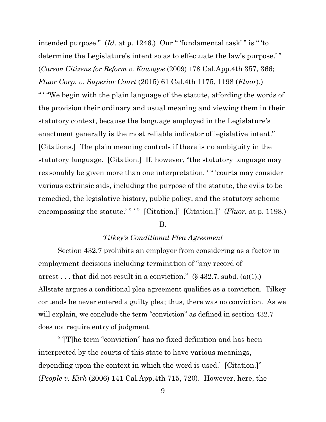intended purpose." (*Id.* at p. 1246.) Our " 'fundamental task' " is " 'to determine the Legislature's intent so as to effectuate the law's purpose.'" (*Carson Citizens for Reform v. Kawagoe* (2009) 178 Cal.App.4th 357, 366; *Fluor Corp. v. Superior Court* (2015) 61 Cal.4th 1175, 1198 (*Fluor*).) " ' "We begin with the plain language of the statute, affording the words of the provision their ordinary and usual meaning and viewing them in their statutory context, because the language employed in the Legislature's enactment generally is the most reliable indicator of legislative intent." [Citations.] The plain meaning controls if there is no ambiguity in the statutory language. [Citation.] If, however, "the statutory language may reasonably be given more than one interpretation, ' " 'courts may consider various extrinsic aids, including the purpose of the statute, the evils to be remedied, the legislative history, public policy, and the statutory scheme encompassing the statute.'"" " [Citation.]' [Citation.]" (*Fluor*, at p. 1198.)

#### B.

#### *Tilkey's Conditional Plea Agreement*

Section 432.7 prohibits an employer from considering as a factor in employment decisions including termination of "any record of arrest . . . that did not result in a conviction."  $(\S 432.7, \text{subd. (a)(1)})$ Allstate argues a conditional plea agreement qualifies as a conviction. Tilkey contends he never entered a guilty plea; thus, there was no conviction. As we will explain, we conclude the term "conviction" as defined in section 432.7 does not require entry of judgment.

" '[T]he term "conviction" has no fixed definition and has been interpreted by the courts of this state to have various meanings, depending upon the context in which the word is used.' [Citation.]" (*People v. Kirk* (2006) 141 Cal.App.4th 715, 720). However, here, the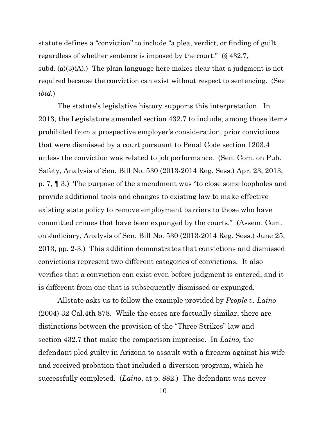statute defines a "conviction" to include "a plea, verdict, or finding of guilt regardless of whether sentence is imposed by the court." (§ 432.7, subd. (a)(3)(A).) The plain language here makes clear that a judgment is not required because the conviction can exist without respect to sentencing. (See *ibid.*)

The statute's legislative history supports this interpretation. In 2013, the Legislature amended section 432.7 to include, among those items prohibited from a prospective employer's consideration, prior convictions that were dismissed by a court pursuant to Penal Code section 1203.4 unless the conviction was related to job performance. (Sen. Com. on Pub. Safety, Analysis of Sen. Bill No. 530 (2013-2014 Reg. Sess.) Apr. 23, 2013, p. 7, ¶ 3.) The purpose of the amendment was "to close some loopholes and provide additional tools and changes to existing law to make effective existing state policy to remove employment barriers to those who have committed crimes that have been expunged by the courts." (Assem. Com. on Judiciary, Analysis of Sen. Bill No. 530 (2013-2014 Reg. Sess.) June 25, 2013, pp. 2-3.) This addition demonstrates that convictions and dismissed convictions represent two different categories of convictions. It also verifies that a conviction can exist even before judgment is entered, and it is different from one that is subsequently dismissed or expunged.

Allstate asks us to follow the example provided by *People v. Laino*  (2004) 32 Cal.4th 878. While the cases are factually similar, there are distinctions between the provision of the "Three Strikes" law and section 432.7 that make the comparison imprecise. In *Laino,* the defendant pled guilty in Arizona to assault with a firearm against his wife and received probation that included a diversion program, which he successfully completed. (*Laino*, at p. 882.) The defendant was never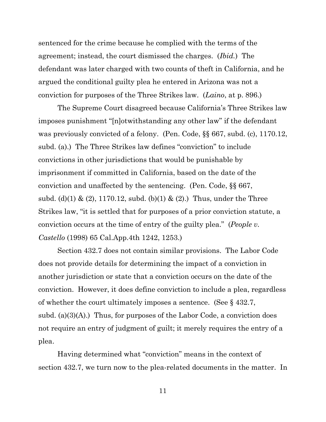sentenced for the crime because he complied with the terms of the agreement; instead, the court dismissed the charges. (*Ibid.*) The defendant was later charged with two counts of theft in California, and he argued the conditional guilty plea he entered in Arizona was not a conviction for purposes of the Three Strikes law. (*Laino*, at p. 896.)

The Supreme Court disagreed because California's Three Strikes law imposes punishment "[n]otwithstanding any other law" if the defendant was previously convicted of a felony. (Pen. Code, §§ 667, subd. (c), 1170.12, subd. (a).) The Three Strikes law defines "conviction" to include convictions in other jurisdictions that would be punishable by imprisonment if committed in California, based on the date of the conviction and unaffected by the sentencing. (Pen. Code, §§ 667, subd. (d)(1) & (2), 1170.12, subd. (b)(1) & (2).) Thus, under the Three Strikes law, "it is settled that for purposes of a prior conviction statute, a conviction occurs at the time of entry of the guilty plea." (*People v. Castello* (1998) 65 Cal.App.4th 1242, 1253.)

Section 432.7 does not contain similar provisions. The Labor Code does not provide details for determining the impact of a conviction in another jurisdiction or state that a conviction occurs on the date of the conviction. However, it does define conviction to include a plea, regardless of whether the court ultimately imposes a sentence. (See § 432.7, subd. (a) $(3)(A)$ .) Thus, for purposes of the Labor Code, a conviction does not require an entry of judgment of guilt; it merely requires the entry of a plea.

Having determined what "conviction" means in the context of section 432.7, we turn now to the plea-related documents in the matter. In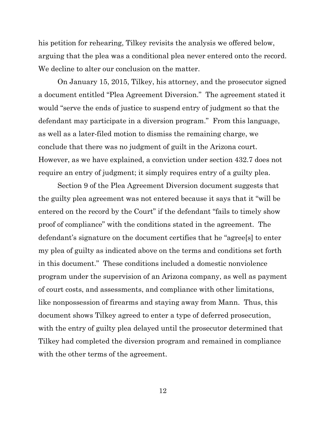his petition for rehearing, Tilkey revisits the analysis we offered below, arguing that the plea was a conditional plea never entered onto the record. We decline to alter our conclusion on the matter.

On January 15, 2015, Tilkey, his attorney, and the prosecutor signed a document entitled "Plea Agreement Diversion." The agreement stated it would "serve the ends of justice to suspend entry of judgment so that the defendant may participate in a diversion program." From this language, as well as a later-filed motion to dismiss the remaining charge, we conclude that there was no judgment of guilt in the Arizona court. However, as we have explained, a conviction under section 432.7 does not require an entry of judgment; it simply requires entry of a guilty plea.

Section 9 of the Plea Agreement Diversion document suggests that the guilty plea agreement was not entered because it says that it "will be entered on the record by the Court" if the defendant "fails to timely show proof of compliance" with the conditions stated in the agreement. The defendant's signature on the document certifies that he "agree[s] to enter my plea of guilty as indicated above on the terms and conditions set forth in this document." These conditions included a domestic nonviolence program under the supervision of an Arizona company, as well as payment of court costs, and assessments, and compliance with other limitations, like nonpossession of firearms and staying away from Mann. Thus, this document shows Tilkey agreed to enter a type of deferred prosecution, with the entry of guilty plea delayed until the prosecutor determined that Tilkey had completed the diversion program and remained in compliance with the other terms of the agreement.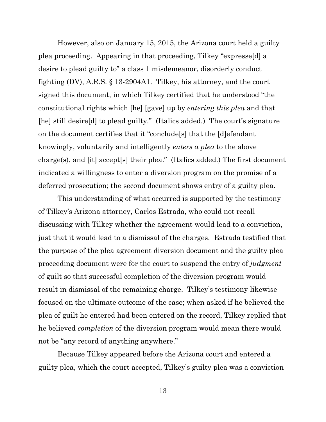However, also on January 15, 2015, the Arizona court held a guilty plea proceeding. Appearing in that proceeding, Tilkey "expresse[d] a desire to plead guilty to" a class 1 misdemeanor, disorderly conduct fighting (DV), A.R.S. § 13-2904A1. Tilkey, his attorney, and the court signed this document, in which Tilkey certified that he understood "the constitutional rights which [he] [gave] up by *entering this plea* and that [he] still desire[d] to plead guilty." (Italics added.) The court's signature on the document certifies that it "conclude[s] that the [d]efendant knowingly, voluntarily and intelligently *enters a plea* to the above charge(s), and [it] accept[s] their plea." (Italics added.) The first document indicated a willingness to enter a diversion program on the promise of a deferred prosecution; the second document shows entry of a guilty plea.

This understanding of what occurred is supported by the testimony of Tilkey's Arizona attorney, Carlos Estrada, who could not recall discussing with Tilkey whether the agreement would lead to a conviction, just that it would lead to a dismissal of the charges. Estrada testified that the purpose of the plea agreement diversion document and the guilty plea proceeding document were for the court to suspend the entry of *judgment* of guilt so that successful completion of the diversion program would result in dismissal of the remaining charge. Tilkey's testimony likewise focused on the ultimate outcome of the case; when asked if he believed the plea of guilt he entered had been entered on the record, Tilkey replied that he believed *completion* of the diversion program would mean there would not be "any record of anything anywhere."

Because Tilkey appeared before the Arizona court and entered a guilty plea, which the court accepted, Tilkey's guilty plea was a conviction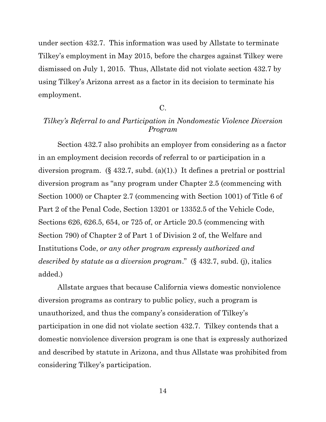under section 432.7. This information was used by Allstate to terminate Tilkey's employment in May 2015, before the charges against Tilkey were dismissed on July 1, 2015. Thus, Allstate did not violate section 432.7 by using Tilkey's Arizona arrest as a factor in its decision to terminate his employment.

# C.

# *Tilkey's Referral to and Participation in Nondomestic Violence Diversion Program*

Section 432.7 also prohibits an employer from considering as a factor in an employment decision records of referral to or participation in a diversion program. (§ 432.7, subd. (a)(1).) It defines a pretrial or posttrial diversion program as "any program under Chapter 2.5 (commencing with Section 1000) or Chapter 2.7 (commencing with Section 1001) of Title 6 of Part 2 of the Penal Code, Section 13201 or 13352.5 of the Vehicle Code, Sections 626, 626.5, 654, or 725 of, or Article 20.5 (commencing with Section 790) of Chapter 2 of Part 1 of Division 2 of, the Welfare and Institutions Code, *or any other program expressly authorized and described by statute as a diversion program*." (§ 432.7, subd. (j), italics added.)

Allstate argues that because California views domestic nonviolence diversion programs as contrary to public policy, such a program is unauthorized, and thus the company's consideration of Tilkey's participation in one did not violate section 432.7. Tilkey contends that a domestic nonviolence diversion program is one that is expressly authorized and described by statute in Arizona, and thus Allstate was prohibited from considering Tilkey's participation.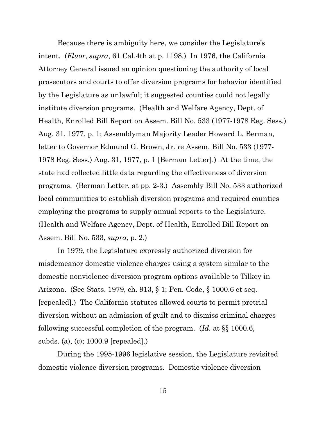Because there is ambiguity here, we consider the Legislature's intent. (*Fluor*, *supra*, 61 Cal.4th at p. 1198.) In 1976, the California Attorney General issued an opinion questioning the authority of local prosecutors and courts to offer diversion programs for behavior identified by the Legislature as unlawful; it suggested counties could not legally institute diversion programs. (Health and Welfare Agency, Dept. of Health, Enrolled Bill Report on Assem. Bill No. 533 (1977-1978 Reg. Sess.) Aug. 31, 1977, p. 1; Assemblyman Majority Leader Howard L. Berman, letter to Governor Edmund G. Brown, Jr. re Assem. Bill No. 533 (1977- 1978 Reg. Sess.) Aug. 31, 1977, p. 1 [Berman Letter].) At the time, the state had collected little data regarding the effectiveness of diversion programs. (Berman Letter, at pp. 2-3.) Assembly Bill No. 533 authorized local communities to establish diversion programs and required counties employing the programs to supply annual reports to the Legislature. (Health and Welfare Agency, Dept. of Health, Enrolled Bill Report on Assem. Bill No. 533, *supra*, p. 2.)

In 1979, the Legislature expressly authorized diversion for misdemeanor domestic violence charges using a system similar to the domestic nonviolence diversion program options available to Tilkey in Arizona. (See Stats. 1979, ch. 913, § 1; Pen. Code, § 1000.6 et seq. [repealed].) The California statutes allowed courts to permit pretrial diversion without an admission of guilt and to dismiss criminal charges following successful completion of the program. (*Id.* at §§ 1000.6, subds. (a), (c); 1000.9 [repealed].)

During the 1995-1996 legislative session, the Legislature revisited domestic violence diversion programs. Domestic violence diversion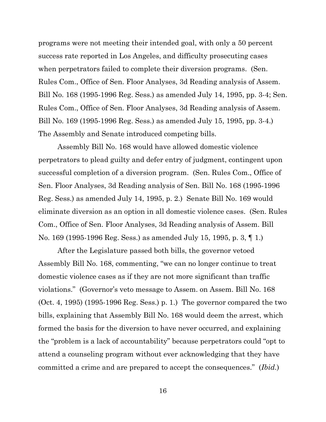programs were not meeting their intended goal, with only a 50 percent success rate reported in Los Angeles, and difficulty prosecuting cases when perpetrators failed to complete their diversion programs. (Sen. Rules Com., Office of Sen. Floor Analyses, 3d Reading analysis of Assem. Bill No. 168 (1995-1996 Reg. Sess.) as amended July 14, 1995, pp. 3-4; Sen. Rules Com., Office of Sen. Floor Analyses, 3d Reading analysis of Assem. Bill No. 169 (1995-1996 Reg. Sess.) as amended July 15, 1995, pp. 3-4.) The Assembly and Senate introduced competing bills.

Assembly Bill No. 168 would have allowed domestic violence perpetrators to plead guilty and defer entry of judgment, contingent upon successful completion of a diversion program. (Sen. Rules Com., Office of Sen. Floor Analyses, 3d Reading analysis of Sen. Bill No. 168 (1995-1996 Reg. Sess.) as amended July 14, 1995, p. 2.) Senate Bill No. 169 would eliminate diversion as an option in all domestic violence cases. (Sen. Rules Com., Office of Sen. Floor Analyses, 3d Reading analysis of Assem. Bill No. 169 (1995-1996 Reg. Sess.) as amended July 15, 1995, p. 3, ¶ 1.)

After the Legislature passed both bills, the governor vetoed Assembly Bill No. 168, commenting, "we can no longer continue to treat domestic violence cases as if they are not more significant than traffic violations." (Governor's veto message to Assem. on Assem. Bill No. 168 (Oct. 4, 1995) (1995-1996 Reg. Sess.) p. 1.) The governor compared the two bills, explaining that Assembly Bill No. 168 would deem the arrest, which formed the basis for the diversion to have never occurred, and explaining the "problem is a lack of accountability" because perpetrators could "opt to attend a counseling program without ever acknowledging that they have committed a crime and are prepared to accept the consequences." (*Ibid.*)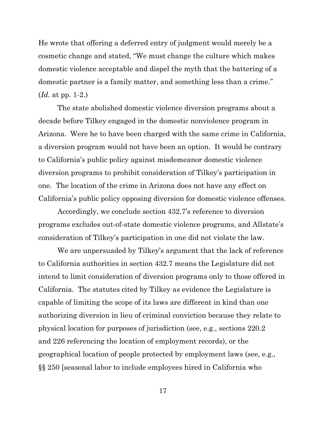He wrote that offering a deferred entry of judgment would merely be a cosmetic change and stated, "We must change the culture which makes domestic violence acceptable and dispel the myth that the battering of a domestic partner is a family matter, and something less than a crime." (*Id.* at pp. 1-2.)

The state abolished domestic violence diversion programs about a decade before Tilkey engaged in the domestic nonviolence program in Arizona. Were he to have been charged with the same crime in California, a diversion program would not have been an option. It would be contrary to California's public policy against misdemeanor domestic violence diversion programs to prohibit consideration of Tilkey's participation in one. The location of the crime in Arizona does not have any effect on California's public policy opposing diversion for domestic violence offenses.

Accordingly, we conclude section 432.7's reference to diversion programs excludes out-of-state domestic violence programs, and Allstate's consideration of Tilkey's participation in one did not violate the law.

We are unpersuaded by Tilkey's argument that the lack of reference to California authorities in section 432.7 means the Legislature did not intend to limit consideration of diversion programs only to those offered in California. The statutes cited by Tilkey as evidence the Legislature is capable of limiting the scope of its laws are different in kind than one authorizing diversion in lieu of criminal conviction because they relate to physical location for purposes of jurisdiction (see, e.g., sections 220.2 and 226 referencing the location of employment records), or the geographical location of people protected by employment laws (see, e.g., §§ 250 [seasonal labor to include employees hired in California who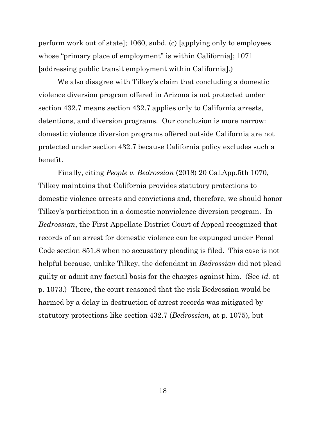perform work out of state]; 1060, subd. (c) [applying only to employees whose "primary place of employment" is within California]; 1071 [addressing public transit employment within California].)

We also disagree with Tilkey's claim that concluding a domestic violence diversion program offered in Arizona is not protected under section 432.7 means section 432.7 applies only to California arrests, detentions, and diversion programs. Our conclusion is more narrow: domestic violence diversion programs offered outside California are not protected under section 432.7 because California policy excludes such a benefit.

Finally, citing *People v. Bedrossian* (2018) 20 Cal.App.5th 1070, Tilkey maintains that California provides statutory protections to domestic violence arrests and convictions and, therefore, we should honor Tilkey's participation in a domestic nonviolence diversion program. In *Bedrossian*, the First Appellate District Court of Appeal recognized that records of an arrest for domestic violence can be expunged under Penal Code section 851.8 when no accusatory pleading is filed. This case is not helpful because, unlike Tilkey, the defendant in *Bedrossian* did not plead guilty or admit any factual basis for the charges against him. (See *id.* at p. 1073.) There, the court reasoned that the risk Bedrossian would be harmed by a delay in destruction of arrest records was mitigated by statutory protections like section 432.7 (*Bedrossian*, at p. 1075), but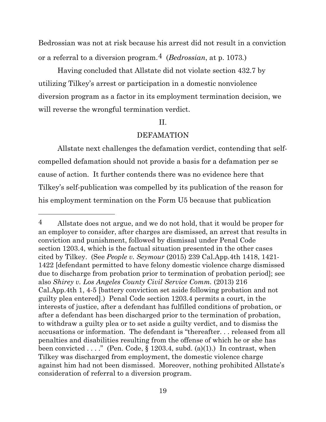Bedrossian was not at risk because his arrest did not result in a conviction or a referral to a diversion program.[4](#page-18-0) (*Bedrossian*, at p. 1073*.*)

Having concluded that Allstate did not violate section 432.7 by utilizing Tilkey's arrest or participation in a domestic nonviolence diversion program as a factor in its employment termination decision, we will reverse the wrongful termination verdict.

# II.

# DEFAMATION

Allstate next challenges the defamation verdict, contending that selfcompelled defamation should not provide a basis for a defamation per se cause of action. It further contends there was no evidence here that Tilkey's self-publication was compelled by its publication of the reason for his employment termination on the Form U5 because that publication

<span id="page-18-0"></span><sup>4</sup> Allstate does not argue, and we do not hold, that it would be proper for an employer to consider, after charges are dismissed, an arrest that results in conviction and punishment, followed by dismissal under Penal Code section 1203.4, which is the factual situation presented in the other cases cited by Tilkey. (See *People v. Seymour* (2015) 239 Cal.App.4th 1418, 1421- 1422 [defendant permitted to have felony domestic violence charge dismissed due to discharge from probation prior to termination of probation period]; see also *Shirey v. Los Angeles County Civil Service Comm.* (2013) 216 Cal.App.4th 1, 4-5 [battery conviction set aside following probation and not guilty plea entered].) Penal Code section 1203.4 permits a court, in the interests of justice, after a defendant has fulfilled conditions of probation, or after a defendant has been discharged prior to the termination of probation, to withdraw a guilty plea or to set aside a guilty verdict, and to dismiss the accusations or information. The defendant is "thereafter. . . released from all penalties and disabilities resulting from the offense of which he or she has been convicted  $\ldots$ ." (Pen. Code, § 1203.4, subd. (a)(1).) In contrast, when Tilkey was discharged from employment, the domestic violence charge against him had not been dismissed. Moreover, nothing prohibited Allstate's consideration of referral to a diversion program.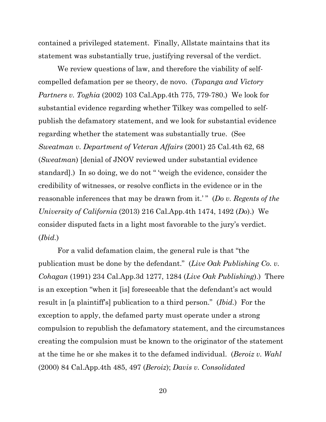contained a privileged statement. Finally, Allstate maintains that its statement was substantially true, justifying reversal of the verdict.

We review questions of law, and therefore the viability of selfcompelled defamation per se theory, de novo. (*Topanga and Victory Partners v. Toghia* (2002) 103 Cal.App.4th 775, 779-780.) We look for substantial evidence regarding whether Tilkey was compelled to selfpublish the defamatory statement, and we look for substantial evidence regarding whether the statement was substantially true. (See *Sweatman v. Department of Veteran Affairs* (2001) 25 Cal.4th 62, 68 (*Sweatman*) [denial of JNOV reviewed under substantial evidence standard].) In so doing, we do not " 'weigh the evidence, consider the credibility of witnesses, or resolve conflicts in the evidence or in the reasonable inferences that may be drawn from it.' " (*Do v. Regents of the University of California* (2013) 216 Cal.App.4th 1474, 1492 (*Do*).) We consider disputed facts in a light most favorable to the jury's verdict. (*Ibid.*)

For a valid defamation claim, the general rule is that "the publication must be done by the defendant." (*Live Oak Publishing Co. v. Cohagan* (1991) 234 Cal.App.3d 1277, 1284 (*Live Oak Publishing*).) There is an exception "when it [is] foreseeable that the defendant's act would result in [a plaintiff's] publication to a third person." (*Ibid.*) For the exception to apply, the defamed party must operate under a strong compulsion to republish the defamatory statement, and the circumstances creating the compulsion must be known to the originator of the statement at the time he or she makes it to the defamed individual. (*Beroiz v. Wahl*  (2000) 84 Cal.App.4th 485, 497 (*Beroiz*); *Davis v. Consolidated*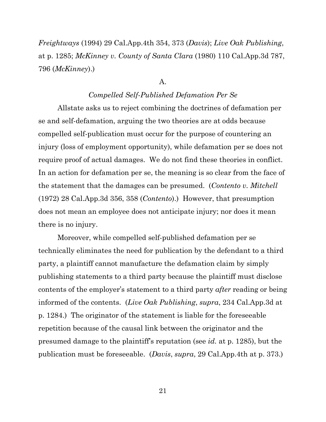*Freightways* (1994) 29 Cal.App.4th 354, 373 (*Davis*); *Live Oak Publishing*, at p. 1285; *McKinney v. County of Santa Clara* (1980) 110 Cal.App.3d 787, 796 (*McKinney*).)

#### A.

# *Compelled Self-Published Defamation Per Se*

Allstate asks us to reject combining the doctrines of defamation per se and self-defamation, arguing the two theories are at odds because compelled self-publication must occur for the purpose of countering an injury (loss of employment opportunity), while defamation per se does not require proof of actual damages. We do not find these theories in conflict. In an action for defamation per se, the meaning is so clear from the face of the statement that the damages can be presumed. (*Contento v. Mitchell*  (1972) 28 Cal.App.3d 356, 358 (*Contento*).) However, that presumption does not mean an employee does not anticipate injury; nor does it mean there is no injury.

Moreover, while compelled self-published defamation per se technically eliminates the need for publication by the defendant to a third party, a plaintiff cannot manufacture the defamation claim by simply publishing statements to a third party because the plaintiff must disclose contents of the employer's statement to a third party *after* reading or being informed of the contents. (*Live Oak Publishing*, *supra*, 234 Cal.App.3d at p. 1284.) The originator of the statement is liable for the foreseeable repetition because of the causal link between the originator and the presumed damage to the plaintiff's reputation (see *id.* at p. 1285), but the publication must be foreseeable. (*Davis*, *supra*, 29 Cal.App.4th at p. 373.)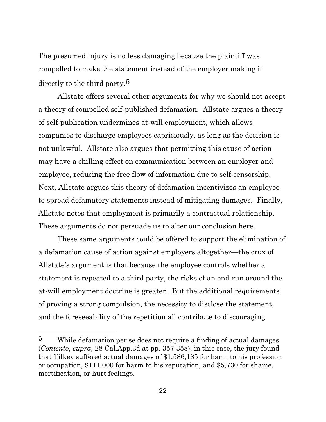The presumed injury is no less damaging because the plaintiff was compelled to make the statement instead of the employer making it directly to the third party.[5](#page-21-0) 

Allstate offers several other arguments for why we should not accept a theory of compelled self-published defamation. Allstate argues a theory of self-publication undermines at-will employment, which allows companies to discharge employees capriciously, as long as the decision is not unlawful. Allstate also argues that permitting this cause of action may have a chilling effect on communication between an employer and employee, reducing the free flow of information due to self-censorship. Next, Allstate argues this theory of defamation incentivizes an employee to spread defamatory statements instead of mitigating damages. Finally, Allstate notes that employment is primarily a contractual relationship. These arguments do not persuade us to alter our conclusion here.

These same arguments could be offered to support the elimination of a defamation cause of action against employers altogether—the crux of Allstate's argument is that because the employee controls whether a statement is repeated to a third party, the risks of an end-run around the at-will employment doctrine is greater. But the additional requirements of proving a strong compulsion, the necessity to disclose the statement, and the foreseeability of the repetition all contribute to discouraging

<span id="page-21-0"></span> $5$  While defamation per se does not require a finding of actual damages (*Contento*, *supra*, 28 Cal.App.3d at pp. 357-358), in this case, the jury found that Tilkey suffered actual damages of \$1,586,185 for harm to his profession or occupation, \$111,000 for harm to his reputation, and \$5,730 for shame, mortification, or hurt feelings.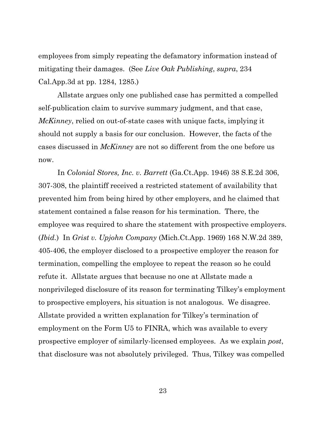employees from simply repeating the defamatory information instead of mitigating their damages. (See *Live Oak Publishing*, *supra*, 234 Cal.App.3d at pp. 1284, 1285.)

Allstate argues only one published case has permitted a compelled self-publication claim to survive summary judgment, and that case, *McKinney*, relied on out-of-state cases with unique facts, implying it should not supply a basis for our conclusion. However, the facts of the cases discussed in *McKinney* are not so different from the one before us now.

In *Colonial Stores, Inc. v. Barrett* (Ga.Ct.App. 1946) 38 S.E.2d 306, 307-308, the plaintiff received a restricted statement of availability that prevented him from being hired by other employers, and he claimed that statement contained a false reason for his termination. There, the employee was required to share the statement with prospective employers. (*Ibid.*) In *Grist v. Upjohn Company* (Mich.Ct.App. 1969) 168 N.W.2d 389, 405-406, the employer disclosed to a prospective employer the reason for termination, compelling the employee to repeat the reason so he could refute it. Allstate argues that because no one at Allstate made a nonprivileged disclosure of its reason for terminating Tilkey's employment to prospective employers, his situation is not analogous. We disagree. Allstate provided a written explanation for Tilkey's termination of employment on the Form U5 to FINRA, which was available to every prospective employer of similarly-licensed employees. As we explain *post*, that disclosure was not absolutely privileged. Thus, Tilkey was compelled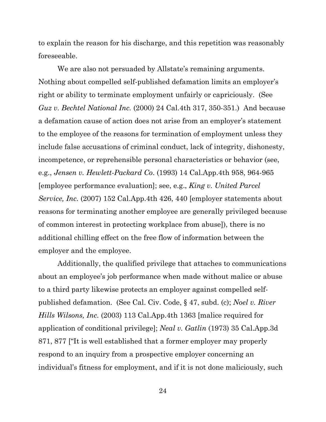to explain the reason for his discharge, and this repetition was reasonably foreseeable.

We are also not persuaded by Allstate's remaining arguments. Nothing about compelled self-published defamation limits an employer's right or ability to terminate employment unfairly or capriciously. (See *Guz v. Bechtel National Inc.* (2000) 24 Cal.4th 317, 350-351.) And because a defamation cause of action does not arise from an employer's statement to the employee of the reasons for termination of employment unless they include false accusations of criminal conduct, lack of integrity, dishonesty, incompetence, or reprehensible personal characteristics or behavior (see, e.g., *Jensen v. Hewlett-Packard Co*. (1993) 14 Cal.App.4th 958, 964-965 [employee performance evaluation]; see, e.g., *King v. United Parcel Service, Inc.* (2007) 152 Cal.App.4th 426, 440 [employer statements about reasons for terminating another employee are generally privileged because of common interest in protecting workplace from abuse]), there is no additional chilling effect on the free flow of information between the employer and the employee.

Additionally, the qualified privilege that attaches to communications about an employee's job performance when made without malice or abuse to a third party likewise protects an employer against compelled selfpublished defamation. (See Cal. Civ. Code, § 47, subd. (c); *Noel v. River Hills Wilsons, Inc.* (2003) 113 Cal.App.4th 1363 [malice required for application of conditional privilege]; *Neal v. Gatlin* (1973) 35 Cal.App.3d 871, 877 ["It is well established that a former employer may properly respond to an inquiry from a prospective employer concerning an individual's fitness for employment, and if it is not done maliciously, such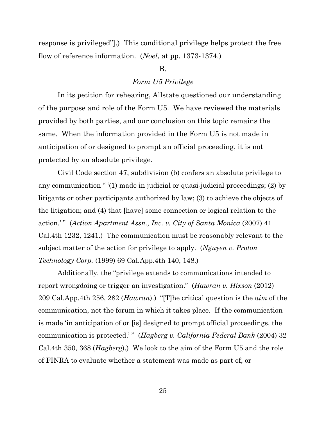response is privileged"].) This conditional privilege helps protect the free flow of reference information. (*Noel*, at pp. 1373-1374.)

# B.

#### *Form U5 Privilege*

In its petition for rehearing, Allstate questioned our understanding of the purpose and role of the Form U5. We have reviewed the materials provided by both parties, and our conclusion on this topic remains the same. When the information provided in the Form U5 is not made in anticipation of or designed to prompt an official proceeding, it is not protected by an absolute privilege.

Civil Code section 47, subdivision (b) confers an absolute privilege to any communication " '(1) made in judicial or quasi-judicial proceedings; (2) by litigants or other participants authorized by law; (3) to achieve the objects of the litigation; and (4) that [have] some connection or logical relation to the action.'" (*Action Apartment Assn., Inc. v. City of Santa Monica* (2007) 41 Cal.4th 1232, 1241.) The communication must be reasonably relevant to the subject matter of the action for privilege to apply. (*Nguyen v. Proton Technology Corp.* (1999) 69 Cal.App.4th 140, 148.)

Additionally, the "privilege extends to communications intended to report wrongdoing or trigger an investigation." (*Hawran v. Hixson* (2012) 209 Cal.App.4th 256, 282 (*Hawran*).) "[T]he critical question is the *aim* of the communication, not the forum in which it takes place. If the communication is made 'in anticipation of or [is] designed to prompt official proceedings, the communication is protected.'" (*Hagberg v. California Federal Bank* (2004) 32 Cal.4th 350, 368 (*Hagberg*).) We look to the aim of the Form U5 and the role of FINRA to evaluate whether a statement was made as part of, or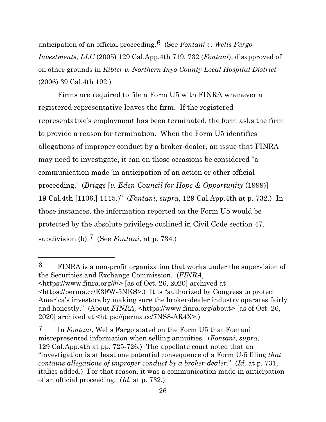anticipation of an official proceeding.[6](#page-25-0) (See *Fontani v. Wells Fargo Investments, LLC* (2005) 129 Cal.App.4th 719, 732 (*Fontani*), disapproved of on other grounds in *Kibler v. Northern Inyo County Local Hospital District*  (2006) 39 Cal.4th 192.)

Firms are required to file a Form U5 with FINRA whenever a registered representative leaves the firm. If the registered representative's employment has been terminated, the form asks the firm to provide a reason for termination. When the Form U5 identifies allegations of improper conduct by a broker-dealer, an issue that FINRA may need to investigate, it can on those occasions be considered "a communication made 'in anticipation of an action or other official proceeding.' (*Briggs* [*v. Eden Council for Hope & Opportunity* (1999)] 19 Cal.4th [1106,] 1115.)" (*Fontani*, *supra*, 129 Cal.App.4th at p. 732.) In those instances, the information reported on the Form U5 would be protected by the absolute privilege outlined in Civil Code section 47, subdivision (b).[7](#page-25-1) (See *Fontani*, at p. 734*.*)

<span id="page-25-0"></span>6 FINRA is a non-profit organization that works under the supervision of the Securities and Exchange Commission. (*FINRA*, <https://www.finra.org/#/> [as of Oct. 26, 2020] archived at <https://perma.cc/E3FW-5NKS>.) It is "authorized by Congress to protect America's investors by making sure the broker-dealer industry operates fairly and honestly." (About *FINRA*,  $\text{thth}$ ,  $\text{thth}$ ,  $\text{th}$ ,  $\text{th}$ ,  $\text{th}$ ,  $\text{th}$ ,  $\text{th}$ ,  $\text{th}$ ,  $\text{th}$ ,  $\text{th}$ ,  $\text{th}$ ,  $\text{th}$ ,  $\text{th}$ ,  $\text{th}$ ,  $\text{th}$ ,  $\text{th}$ ,  $\text{th}$ ,  $\text{th}$ ,  $\text{th}$ ,  $\text{th}$ ,  $\text{th}$ , 2020] archived at <https://perma.cc/7NS8-AR4X>.)

<span id="page-25-1"></span><sup>7</sup> In *Fontani*, Wells Fargo stated on the Form U5 that Fontani misrepresented information when selling annuities. (*Fontani*, *supra*, 129 Cal.App.4th at pp. 725-726.) The appellate court noted that an "investigation is at least one potential consequence of a Form U-5 filing *that contains allegations of improper conduct by a broker-dealer.*" (*Id.* at p. 731, italics added.) For that reason, it was a communication made in anticipation of an official proceeding. (*Id.* at p. 732.)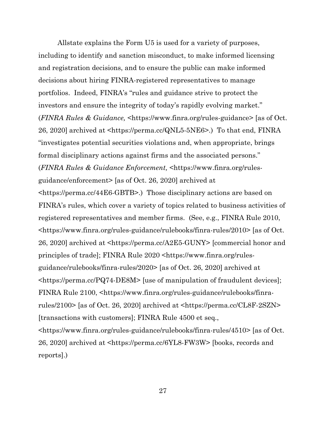Allstate explains the Form U5 is used for a variety of purposes, including to identify and sanction misconduct, to make informed licensing and registration decisions, and to ensure the public can make informed decisions about hiring FINRA-registered representatives to manage portfolios. Indeed, FINRA's "rules and guidance strive to protect the investors and ensure the integrity of today's rapidly evolving market." (*FINRA Rules & Guidance,* <https://www.finra.org/rules-guidance> [as of Oct. 26, 2020] archived at <https://perma.cc/QNL5-5NE6>.) To that end, FINRA "investigates potential securities violations and, when appropriate, brings formal disciplinary actions against firms and the associated persons." (*FINRA Rules & Guidance Enforcement,* <https://www.finra.org/rulesguidance/enforcement> [as of Oct. 26, 2020] archived at <https://perma.cc/44E6-GBTB>.) Those disciplinary actions are based on FINRA's rules, which cover a variety of topics related to business activities of registered representatives and member firms. (See, e.g., FINRA Rule 2010, <https://www.finra.org/rules-guidance/rulebooks/finra-rules/2010> [as of Oct. 26, 2020] archived at <https://perma.cc/A2E5-GUNY> [commercial honor and principles of trade]; FINRA Rule 2020 <https://www.finra.org/rulesguidance/rulebooks/finra-rules/2020> [as of Oct. 26, 2020] archived at <https://perma.cc/PQ74-DE8M> [use of manipulation of fraudulent devices]; FINRA Rule 2100, <https://www.finra.org/rules-guidance/rulebooks/finrarules/2100> [as of Oct. 26, 2020] archived at <https://perma.cc/CL8F-2SZN> [transactions with customers]; FINRA Rule 4500 et seq., <https://www.finra.org/rules-guidance/rulebooks/finra-rules/4510> [as of Oct. 26, 2020] archived at <https://perma.cc/6YL8-FW3W> [books, records and

reports].)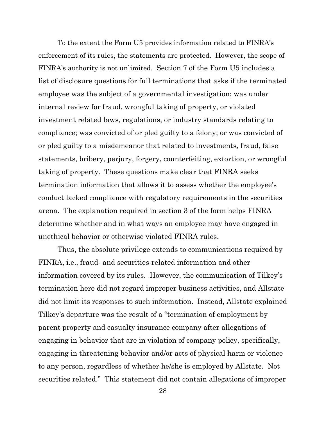To the extent the Form U5 provides information related to FINRA's enforcement of its rules, the statements are protected. However, the scope of FINRA's authority is not unlimited. Section 7 of the Form U5 includes a list of disclosure questions for full terminations that asks if the terminated employee was the subject of a governmental investigation; was under internal review for fraud, wrongful taking of property, or violated investment related laws, regulations, or industry standards relating to compliance; was convicted of or pled guilty to a felony; or was convicted of or pled guilty to a misdemeanor that related to investments, fraud, false statements, bribery, perjury, forgery, counterfeiting, extortion, or wrongful taking of property. These questions make clear that FINRA seeks termination information that allows it to assess whether the employee's conduct lacked compliance with regulatory requirements in the securities arena. The explanation required in section 3 of the form helps FINRA determine whether and in what ways an employee may have engaged in unethical behavior or otherwise violated FINRA rules.

Thus, the absolute privilege extends to communications required by FINRA, i.e., fraud- and securities-related information and other information covered by its rules. However, the communication of Tilkey's termination here did not regard improper business activities, and Allstate did not limit its responses to such information. Instead, Allstate explained Tilkey's departure was the result of a "termination of employment by parent property and casualty insurance company after allegations of engaging in behavior that are in violation of company policy, specifically, engaging in threatening behavior and/or acts of physical harm or violence to any person, regardless of whether he/she is employed by Allstate. Not securities related." This statement did not contain allegations of improper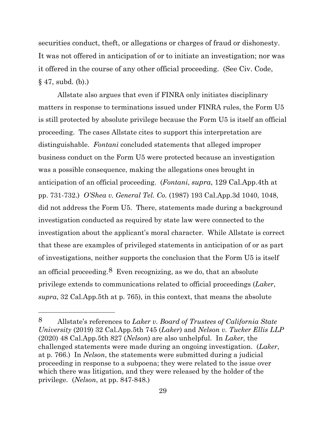securities conduct, theft, or allegations or charges of fraud or dishonesty. It was not offered in anticipation of or to initiate an investigation; nor was it offered in the course of any other official proceeding. (See Civ. Code, § 47, subd. (b).)

Allstate also argues that even if FINRA only initiates disciplinary matters in response to terminations issued under FINRA rules, the Form U5 is still protected by absolute privilege because the Form U5 is itself an official proceeding. The cases Allstate cites to support this interpretation are distinguishable. *Fontani* concluded statements that alleged improper business conduct on the Form U5 were protected because an investigation was a possible consequence, making the allegations ones brought in anticipation of an official proceeding. (*Fontani*, *supra*, 129 Cal.App.4th at pp. 731-732.) *O'Shea v. General Tel. Co.* (1987) 193 Cal.App.3d 1040, 1048, did not address the Form U5. There, statements made during a background investigation conducted as required by state law were connected to the investigation about the applicant's moral character. While Allstate is correct that these are examples of privileged statements in anticipation of or as part of investigations, neither supports the conclusion that the Form U5 is itself an official proceeding. <sup>[8](#page-28-0)</sup> Even recognizing, as we do, that an absolute privilege extends to communications related to official proceedings (*Laker*, *supra*, 32 Cal.App.5th at p. 765), in this context, that means the absolute

<span id="page-28-0"></span><sup>8</sup> Allstate's references to *Laker v. Board of Trustees of California State University* (2019) 32 Cal.App.5th 745 (*Laker*) and *Nelson v. Tucker Ellis LLP*  (2020) 48 Cal.App.5th 827 (*Nelson*) are also unhelpful. In *Laker,* the challenged statements were made during an ongoing investigation. (*Laker*, at p. 766.) In *Nelson*, the statements were submitted during a judicial proceeding in response to a subpoena; they were related to the issue over which there was litigation, and they were released by the holder of the privilege. (*Nelson*, at pp. 847-848.)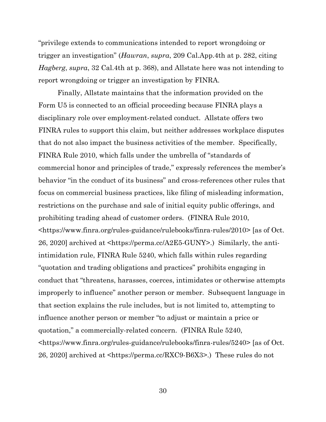"privilege extends to communications intended to report wrongdoing or trigger an investigation" (*Hawran*, *supra*, 209 Cal.App.4th at p. 282, citing *Hagberg*, *supra*, 32 Cal.4th at p. 368), and Allstate here was not intending to report wrongdoing or trigger an investigation by FINRA.

Finally, Allstate maintains that the information provided on the Form U5 is connected to an official proceeding because FINRA plays a disciplinary role over employment-related conduct. Allstate offers two FINRA rules to support this claim, but neither addresses workplace disputes that do not also impact the business activities of the member. Specifically, FINRA Rule 2010, which falls under the umbrella of "standards of commercial honor and principles of trade," expressly references the member's behavior "in the conduct of its business" and cross-references other rules that focus on commercial business practices, like filing of misleading information, restrictions on the purchase and sale of initial equity public offerings, and prohibiting trading ahead of customer orders. (FINRA Rule 2010, <https://www.finra.org/rules-guidance/rulebooks/finra-rules/2010> [as of Oct. 26, 2020] archived at <https://perma.cc/A2E5-GUNY>.) Similarly, the antiintimidation rule, FINRA Rule 5240, which falls within rules regarding "quotation and trading obligations and practices" prohibits engaging in conduct that "threatens, harasses, coerces, intimidates or otherwise attempts improperly to influence" another person or member. Subsequent language in that section explains the rule includes, but is not limited to, attempting to influence another person or member "to adjust or maintain a price or quotation," a commercially-related concern. (FINRA Rule 5240, <https://www.finra.org/rules-guidance/rulebooks/finra-rules/5240> [as of Oct. 26, 2020] archived at <https://perma.cc/RXC9-B6X3>.) These rules do not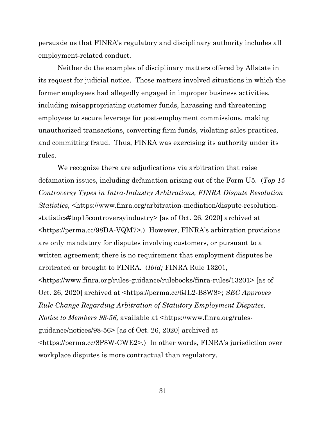persuade us that FINRA's regulatory and disciplinary authority includes all employment-related conduct.

Neither do the examples of disciplinary matters offered by Allstate in its request for judicial notice. Those matters involved situations in which the former employees had allegedly engaged in improper business activities, including misappropriating customer funds, harassing and threatening employees to secure leverage for post-employment commissions, making unauthorized transactions, converting firm funds, violating sales practices, and committing fraud. Thus, FINRA was exercising its authority under its rules.

We recognize there are adjudications via arbitration that raise defamation issues, including defamation arising out of the Form U5. (*Top 15 Controversy Types in Intra-Industry Arbitrations, FINRA Dispute Resolution Statistics,* <https://www.finra.org/arbitration-mediation/dispute-resolutionstatistics#top15controversyindustry> [as of Oct. 26, 2020] archived at <https://perma.cc/98DA-VQM7>.) However, FINRA's arbitration provisions are only mandatory for disputes involving customers, or pursuant to a written agreement; there is no requirement that employment disputes be arbitrated or brought to FINRA. (*Ibid;* FINRA Rule 13201, <https://www.finra.org/rules-guidance/rulebooks/finra-rules/13201> [as of Oct. 26, 2020] archived at <https://perma.cc/6JL2-B8W8>; *SEC Approves Rule Change Regarding Arbitration of Statutory Employment Disputes, Notice to Members 98-56, available at*  $\langle$ *https://www.finra.org/rules*guidance/notices/98-56> [as of Oct. 26, 2020] archived at <https://perma.cc/8P8W-CWE2>.) In other words, FINRA's jurisdiction over workplace disputes is more contractual than regulatory.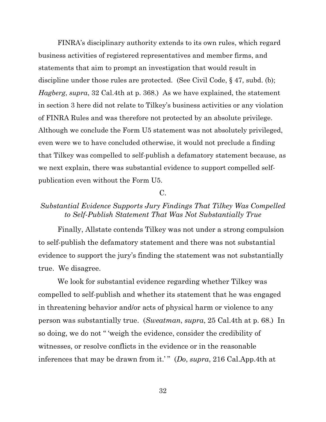FINRA's disciplinary authority extends to its own rules, which regard business activities of registered representatives and member firms, and statements that aim to prompt an investigation that would result in discipline under those rules are protected. (See Civil Code, § 47, subd. (b); *Hagberg*, *supra*, 32 Cal.4th at p. 368.) As we have explained, the statement in section 3 here did not relate to Tilkey's business activities or any violation of FINRA Rules and was therefore not protected by an absolute privilege. Although we conclude the Form U5 statement was not absolutely privileged, even were we to have concluded otherwise, it would not preclude a finding that Tilkey was compelled to self-publish a defamatory statement because, as we next explain, there was substantial evidence to support compelled selfpublication even without the Form U5.

# C.

# *Substantial Evidence Supports Jury Findings That Tilkey Was Compelled to Self-Publish Statement That Was Not Substantially True*

Finally, Allstate contends Tilkey was not under a strong compulsion to self-publish the defamatory statement and there was not substantial evidence to support the jury's finding the statement was not substantially true. We disagree.

We look for substantial evidence regarding whether Tilkey was compelled to self-publish and whether its statement that he was engaged in threatening behavior and/or acts of physical harm or violence to any person was substantially true. (*Sweatman*, *supra*, 25 Cal.4th at p. 68.) In so doing, we do not " 'weigh the evidence, consider the credibility of witnesses, or resolve conflicts in the evidence or in the reasonable inferences that may be drawn from it.' " (*Do*, *supra*, 216 Cal.App.4th at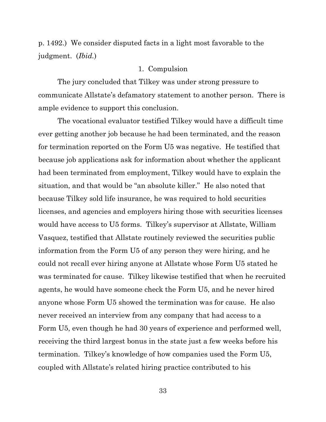p. 1492.) We consider disputed facts in a light most favorable to the judgment. (*Ibid.*)

#### 1. Compulsion

The jury concluded that Tilkey was under strong pressure to communicate Allstate's defamatory statement to another person. There is ample evidence to support this conclusion.

The vocational evaluator testified Tilkey would have a difficult time ever getting another job because he had been terminated, and the reason for termination reported on the Form U5 was negative. He testified that because job applications ask for information about whether the applicant had been terminated from employment, Tilkey would have to explain the situation, and that would be "an absolute killer." He also noted that because Tilkey sold life insurance, he was required to hold securities licenses, and agencies and employers hiring those with securities licenses would have access to U5 forms. Tilkey's supervisor at Allstate, William Vasquez, testified that Allstate routinely reviewed the securities public information from the Form U5 of any person they were hiring, and he could not recall ever hiring anyone at Allstate whose Form U5 stated he was terminated for cause. Tilkey likewise testified that when he recruited agents, he would have someone check the Form U5, and he never hired anyone whose Form U5 showed the termination was for cause. He also never received an interview from any company that had access to a Form U5, even though he had 30 years of experience and performed well, receiving the third largest bonus in the state just a few weeks before his termination. Tilkey's knowledge of how companies used the Form U5, coupled with Allstate's related hiring practice contributed to his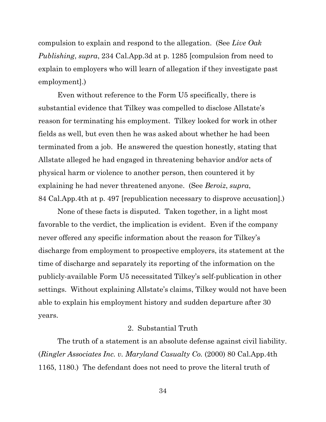compulsion to explain and respond to the allegation. (See *Live Oak Publishing*, *supra*, 234 Cal.App.3d at p. 1285 [compulsion from need to explain to employers who will learn of allegation if they investigate past employment].)

Even without reference to the Form U5 specifically, there is substantial evidence that Tilkey was compelled to disclose Allstate's reason for terminating his employment. Tilkey looked for work in other fields as well, but even then he was asked about whether he had been terminated from a job. He answered the question honestly, stating that Allstate alleged he had engaged in threatening behavior and/or acts of physical harm or violence to another person, then countered it by explaining he had never threatened anyone. (See *Beroiz*, *supra*, 84 Cal.App.4th at p. 497 [republication necessary to disprove accusation].)

None of these facts is disputed. Taken together, in a light most favorable to the verdict, the implication is evident. Even if the company never offered any specific information about the reason for Tilkey's discharge from employment to prospective employers, its statement at the time of discharge and separately its reporting of the information on the publicly-available Form U5 necessitated Tilkey's self-publication in other settings. Without explaining Allstate's claims, Tilkey would not have been able to explain his employment history and sudden departure after 30 years.

# 2. Substantial Truth

The truth of a statement is an absolute defense against civil liability. (*Ringler Associates Inc. v. Maryland Casualty Co.* (2000) 80 Cal.App.4th 1165, 1180.) The defendant does not need to prove the literal truth of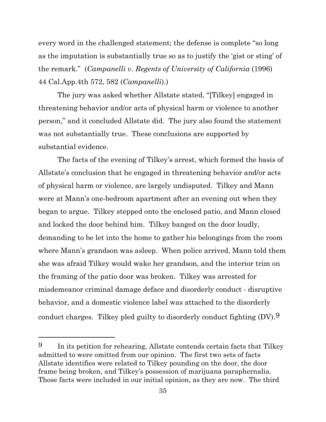every word in the challenged statement; the defense is complete "so long as the imputation is substantially true so as to justify the 'gist or sting' of the remark." (*Campanelli v. Regents of University of California* (1996) 44 Cal.App.4th 572, 582 (*Campanelli*).)

The jury was asked whether Allstate stated, "[Tilkey] engaged in threatening behavior and/or acts of physical harm or violence to another person," and it concluded Allstate did. The jury also found the statement was not substantially true. These conclusions are supported by substantial evidence.

The facts of the evening of Tilkey's arrest, which formed the basis of Allstate's conclusion that he engaged in threatening behavior and/or acts of physical harm or violence, are largely undisputed. Tilkey and Mann were at Mann's one-bedroom apartment after an evening out when they began to argue. Tilkey stepped onto the enclosed patio, and Mann closed and locked the door behind him. Tilkey banged on the door loudly, demanding to be let into the home to gather his belongings from the room where Mann's grandson was asleep. When police arrived, Mann told them she was afraid Tilkey would wake her grandson, and the interior trim on the framing of the patio door was broken. Tilkey was arrested for misdemeanor criminal damage deface and disorderly conduct - disruptive behavior, and a domestic violence label was attached to the disorderly conduct charges. Tilkey pled guilty to disorderly conduct fighting  $(DV)$ .

<span id="page-34-0"></span><sup>9</sup> In its petition for rehearing, Allstate contends certain facts that Tilkey admitted to were omitted from our opinion. The first two sets of facts Allstate identifies were related to Tilkey pounding on the door, the door frame being broken, and Tilkey's possession of marijuana paraphernalia. Those facts were included in our initial opinion, as they are now. The third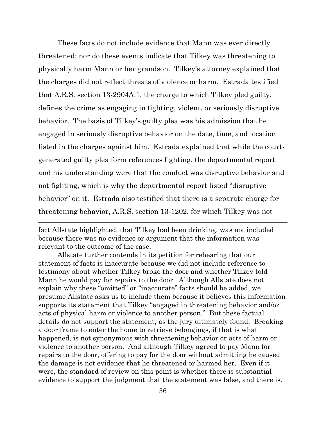These facts do not include evidence that Mann was ever directly threatened; nor do these events indicate that Tilkey was threatening to physically harm Mann or her grandson. Tilkey's attorney explained that the charges did not reflect threats of violence or harm. Estrada testified that A.R.S. section 13-2904A.1, the charge to which Tilkey pled guilty, defines the crime as engaging in fighting, violent, or seriously disruptive behavior. The basis of Tilkey's guilty plea was his admission that he engaged in seriously disruptive behavior on the date, time, and location listed in the charges against him. Estrada explained that while the courtgenerated guilty plea form references fighting, the departmental report and his understanding were that the conduct was disruptive behavior and not fighting, which is why the departmental report listed "disruptive behavior" on it. Estrada also testified that there is a separate charge for threatening behavior, A.R.S. section 13-1202, for which Tilkey was not

fact Allstate highlighted, that Tilkey had been drinking, was not included because there was no evidence or argument that the information was relevant to the outcome of the case.

Allstate further contends in its petition for rehearing that our statement of facts is inaccurate because we did not include reference to testimony about whether Tilkey broke the door and whether Tilkey told Mann he would pay for repairs to the door. Although Allstate does not explain why these "omitted" or "inaccurate" facts should be added, we presume Allstate asks us to include them because it believes this information supports its statement that Tilkey "engaged in threatening behavior and/or acts of physical harm or violence to another person." But these factual details do not support the statement, as the jury ultimately found. Breaking a door frame to enter the home to retrieve belongings, if that is what happened, is not synonymous with threatening behavior or acts of harm or violence to another person. And although Tilkey agreed to pay Mann for repairs to the door, offering to pay for the door without admitting he caused the damage is not evidence that he threatened or harmed her. Even if it were, the standard of review on this point is whether there is substantial evidence to support the judgment that the statement was false, and there is.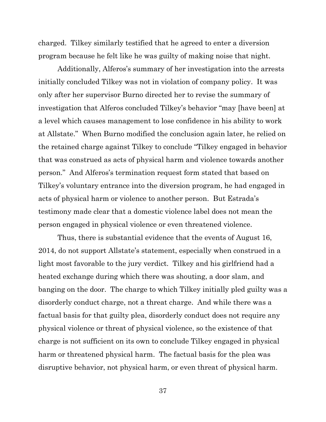charged. Tilkey similarly testified that he agreed to enter a diversion program because he felt like he was guilty of making noise that night.

Additionally, Alferos's summary of her investigation into the arrests initially concluded Tilkey was not in violation of company policy. It was only after her supervisor Burno directed her to revise the summary of investigation that Alferos concluded Tilkey's behavior "may [have been] at a level which causes management to lose confidence in his ability to work at Allstate." When Burno modified the conclusion again later, he relied on the retained charge against Tilkey to conclude "Tilkey engaged in behavior that was construed as acts of physical harm and violence towards another person." And Alferos's termination request form stated that based on Tilkey's voluntary entrance into the diversion program, he had engaged in acts of physical harm or violence to another person. But Estrada's testimony made clear that a domestic violence label does not mean the person engaged in physical violence or even threatened violence.

Thus, there is substantial evidence that the events of August 16, 2014, do not support Allstate's statement, especially when construed in a light most favorable to the jury verdict. Tilkey and his girlfriend had a heated exchange during which there was shouting, a door slam, and banging on the door. The charge to which Tilkey initially pled guilty was a disorderly conduct charge, not a threat charge. And while there was a factual basis for that guilty plea, disorderly conduct does not require any physical violence or threat of physical violence, so the existence of that charge is not sufficient on its own to conclude Tilkey engaged in physical harm or threatened physical harm. The factual basis for the plea was disruptive behavior, not physical harm, or even threat of physical harm.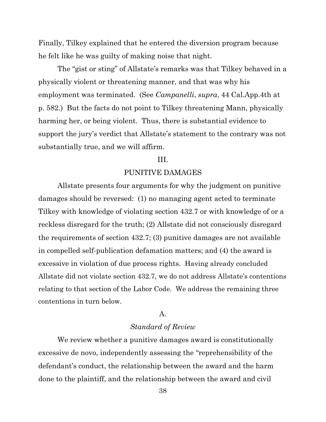Finally, Tilkey explained that he entered the diversion program because he felt like he was guilty of making noise that night.

The "gist or sting" of Allstate's remarks was that Tilkey behaved in a physically violent or threatening manner, and that was why his employment was terminated. (See *Campanelli*, *supra*, 44 Cal.App.4th at p. 582.) But the facts do not point to Tilkey threatening Mann, physically harming her, or being violent. Thus, there is substantial evidence to support the jury's verdict that Allstate's statement to the contrary was not substantially true, and we will affirm.

#### III.

#### PUNITIVE DAMAGES

Allstate presents four arguments for why the judgment on punitive damages should be reversed: (1) no managing agent acted to terminate Tilkey with knowledge of violating section 432.7 or with knowledge of or a reckless disregard for the truth; (2) Allstate did not consciously disregard the requirements of section 432.7; (3) punitive damages are not available in compelled self-publication defamation matters; and (4) the award is excessive in violation of due process rights. Having already concluded Allstate did not violate section 432.7, we do not address Allstate's contentions relating to that section of the Labor Code. We address the remaining three contentions in turn below.

# A.

#### *Standard of Review*

We review whether a punitive damages award is constitutionally excessive de novo, independently assessing the "reprehensibility of the defendant's conduct, the relationship between the award and the harm done to the plaintiff, and the relationship between the award and civil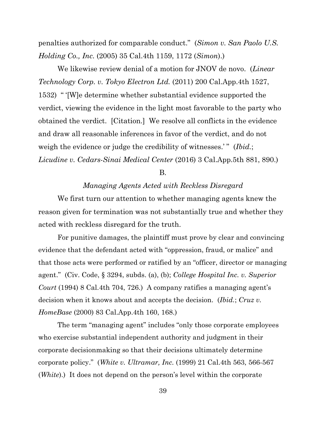penalties authorized for comparable conduct." (*Simon v. San Paolo U.S. Holding Co., Inc.* (2005) 35 Cal.4th 1159, 1172 (*Simon*).)

We likewise review denial of a motion for JNOV de novo. (*Linear Technology Corp. v. Tokyo Electron Ltd.* (2011) 200 Cal.App.4th 1527, 1532) " '[W]e determine whether substantial evidence supported the verdict, viewing the evidence in the light most favorable to the party who obtained the verdict. [Citation.] We resolve all conflicts in the evidence and draw all reasonable inferences in favor of the verdict, and do not weigh the evidence or judge the credibility of witnesses.'" (*Ibid.*; *Licudine v. Cedars-Sinai Medical Center* (2016) 3 Cal.App.5th 881, 890.)

B.

#### *Managing Agents Acted with Reckless Disregard*

We first turn our attention to whether managing agents knew the reason given for termination was not substantially true and whether they acted with reckless disregard for the truth.

For punitive damages, the plaintiff must prove by clear and convincing evidence that the defendant acted with "oppression, fraud, or malice" and that those acts were performed or ratified by an "officer, director or managing agent." (Civ. Code, § 3294, subds. (a), (b); *College Hospital Inc. v. Superior Court* (1994) 8 Cal.4th 704, 726.) A company ratifies a managing agent's decision when it knows about and accepts the decision. (*Ibid.*; *Cruz v. HomeBase* (2000) 83 Cal.App.4th 160, 168.)

The term "managing agent" includes "only those corporate employees who exercise substantial independent authority and judgment in their corporate decisionmaking so that their decisions ultimately determine corporate policy." (*White v. Ultramar, Inc.* (1999) 21 Cal.4th 563, 566-567 (*White*).) It does not depend on the person's level within the corporate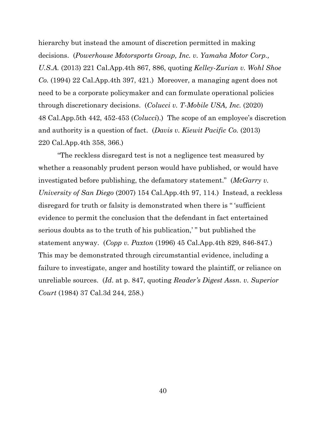hierarchy but instead the amount of discretion permitted in making decisions. (*Powerhouse Motorsports Group, Inc. v. Yamaha Motor Corp., U.S.A.* (2013) 221 Cal.App.4th 867, 886, quoting *Kelley-Zurian v. Wohl Shoe Co.* (1994) 22 Cal.App.4th 397, 421.) Moreover, a managing agent does not need to be a corporate policymaker and can formulate operational policies through discretionary decisions. (*Colucci v. T-Mobile USA, Inc.* (2020) 48 Cal.App.5th 442, 452-453 (*Colucci*).) The scope of an employee's discretion and authority is a question of fact. (*Davis v. Kiewit Pacific Co.* (2013) 220 Cal.App.4th 358, 366.)

"The reckless disregard test is not a negligence test measured by whether a reasonably prudent person would have published, or would have investigated before publishing, the defamatory statement." (*McGarry v. University of San Diego* (2007) 154 Cal.App.4th 97, 114.) Instead, a reckless disregard for truth or falsity is demonstrated when there is " 'sufficient evidence to permit the conclusion that the defendant in fact entertained serious doubts as to the truth of his publication,' " but published the statement anyway. (*Copp v. Paxton* (1996) 45 Cal.App.4th 829, 846-847.) This may be demonstrated through circumstantial evidence, including a failure to investigate, anger and hostility toward the plaintiff, or reliance on unreliable sources. (*Id*. at p. 847, quoting *Reader's Digest Assn. v. Superior Court* (1984) 37 Cal.3d 244, 258.)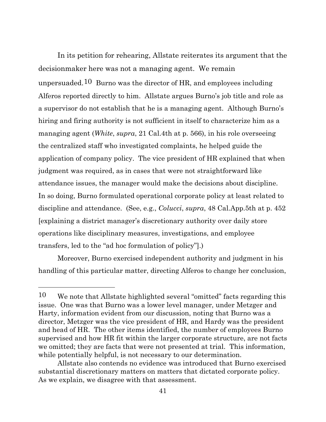In its petition for rehearing, Allstate reiterates its argument that the decisionmaker here was not a managing agent. We remain unpersuaded.<sup>10</sup> Burno was the director of HR, and employees including Alferos reported directly to him. Allstate argues Burno's job title and role as a supervisor do not establish that he is a managing agent. Although Burno's hiring and firing authority is not sufficient in itself to characterize him as a managing agent (*White*, *supra*, 21 Cal.4th at p. 566), in his role overseeing the centralized staff who investigated complaints, he helped guide the application of company policy. The vice president of HR explained that when judgment was required, as in cases that were not straightforward like attendance issues, the manager would make the decisions about discipline. In so doing, Burno formulated operational corporate policy at least related to discipline and attendance. (See, e.g., *Colucci*, *supra*, 48 Cal.App.5th at p. 452 [explaining a district manager's discretionary authority over daily store operations like disciplinary measures, investigations, and employee transfers, led to the "ad hoc formulation of policy"].)

Moreover, Burno exercised independent authority and judgment in his handling of this particular matter, directing Alferos to change her conclusion,

<span id="page-40-0"></span><sup>10</sup> We note that Allstate highlighted several "omitted" facts regarding this issue. One was that Burno was a lower level manager, under Metzger and Harty, information evident from our discussion, noting that Burno was a director, Metzger was the vice president of HR, and Hardy was the president and head of HR. The other items identified, the number of employees Burno supervised and how HR fit within the larger corporate structure, are not facts we omitted; they are facts that were not presented at trial. This information, while potentially helpful, is not necessary to our determination.

Allstate also contends no evidence was introduced that Burno exercised substantial discretionary matters on matters that dictated corporate policy. As we explain, we disagree with that assessment.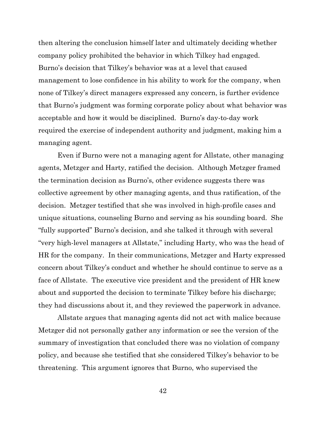then altering the conclusion himself later and ultimately deciding whether company policy prohibited the behavior in which Tilkey had engaged. Burno's decision that Tilkey's behavior was at a level that caused management to lose confidence in his ability to work for the company, when none of Tilkey's direct managers expressed any concern, is further evidence that Burno's judgment was forming corporate policy about what behavior was acceptable and how it would be disciplined. Burno's day-to-day work required the exercise of independent authority and judgment, making him a managing agent.

Even if Burno were not a managing agent for Allstate, other managing agents, Metzger and Harty, ratified the decision. Although Metzger framed the termination decision as Burno's, other evidence suggests there was collective agreement by other managing agents, and thus ratification, of the decision. Metzger testified that she was involved in high-profile cases and unique situations, counseling Burno and serving as his sounding board. She "fully supported" Burno's decision, and she talked it through with several "very high-level managers at Allstate," including Harty, who was the head of HR for the company. In their communications, Metzger and Harty expressed concern about Tilkey's conduct and whether he should continue to serve as a face of Allstate. The executive vice president and the president of HR knew about and supported the decision to terminate Tilkey before his discharge; they had discussions about it, and they reviewed the paperwork in advance.

Allstate argues that managing agents did not act with malice because Metzger did not personally gather any information or see the version of the summary of investigation that concluded there was no violation of company policy, and because she testified that she considered Tilkey's behavior to be threatening. This argument ignores that Burno, who supervised the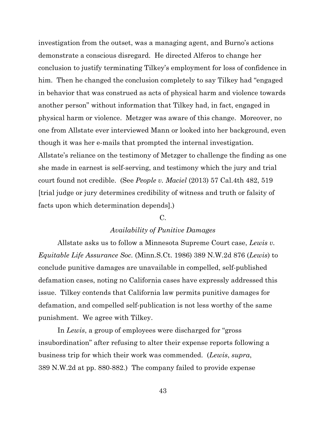investigation from the outset, was a managing agent, and Burno's actions demonstrate a conscious disregard. He directed Alferos to change her conclusion to justify terminating Tilkey's employment for loss of confidence in him. Then he changed the conclusion completely to say Tilkey had "engaged in behavior that was construed as acts of physical harm and violence towards another person" without information that Tilkey had, in fact, engaged in physical harm or violence. Metzger was aware of this change. Moreover, no one from Allstate ever interviewed Mann or looked into her background, even though it was her e-mails that prompted the internal investigation. Allstate's reliance on the testimony of Metzger to challenge the finding as one she made in earnest is self-serving, and testimony which the jury and trial court found not credible. (See *People v. Maciel* (2013) 57 Cal.4th 482, 519 [trial judge or jury determines credibility of witness and truth or falsity of facts upon which determination depends].)

# $C_{\cdot}$

# *Availability of Punitive Damages*

Allstate asks us to follow a Minnesota Supreme Court case, *Lewis v. Equitable Life Assurance Soc.* (Minn.S.Ct. 1986) 389 N.W.2d 876 (*Lewis*) to conclude punitive damages are unavailable in compelled, self-published defamation cases, noting no California cases have expressly addressed this issue. Tilkey contends that California law permits punitive damages for defamation, and compelled self-publication is not less worthy of the same punishment. We agree with Tilkey.

In *Lewis*, a group of employees were discharged for "gross insubordination" after refusing to alter their expense reports following a business trip for which their work was commended. (*Lewis*, *supra*, 389 N.W.2d at pp. 880-882.) The company failed to provide expense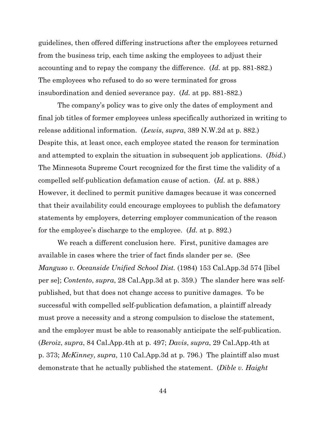guidelines, then offered differing instructions after the employees returned from the business trip, each time asking the employees to adjust their accounting and to repay the company the difference. (*Id.* at pp. 881-882.) The employees who refused to do so were terminated for gross insubordination and denied severance pay. (*Id.* at pp. 881-882.)

The company's policy was to give only the dates of employment and final job titles of former employees unless specifically authorized in writing to release additional information. (*Lewis*, *supra*, 389 N.W.2d at p. 882.) Despite this, at least once, each employee stated the reason for termination and attempted to explain the situation in subsequent job applications. (*Ibid.*) The Minnesota Supreme Court recognized for the first time the validity of a compelled self-publication defamation cause of action. (*Id.* at p. 888.) However, it declined to permit punitive damages because it was concerned that their availability could encourage employees to publish the defamatory statements by employers, deterring employer communication of the reason for the employee's discharge to the employee. (*Id.* at p. 892.)

We reach a different conclusion here. First, punitive damages are available in cases where the trier of fact finds slander per se. (See *Manguso v. Oceanside Unified School Dist.* (1984) 153 Cal.App.3d 574 [libel per se]; *Contento*, *supra*, 28 Cal.App.3d at p. 359.) The slander here was selfpublished, but that does not change access to punitive damages. To be successful with compelled self-publication defamation, a plaintiff already must prove a necessity and a strong compulsion to disclose the statement, and the employer must be able to reasonably anticipate the self-publication. (*Beroiz*, *supra*, 84 Cal.App.4th at p. 497; *Davis*, *supra*, 29 Cal.App.4th at p. 373; *McKinney*, *supra*, 110 Cal.App.3d at p. 796.) The plaintiff also must demonstrate that he actually published the statement. (*Dible v. Haight*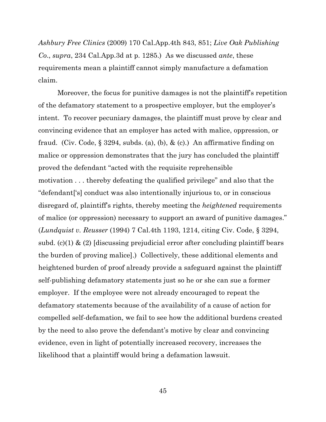*Ashbury Free Clinics* (2009) 170 Cal.App.4th 843, 851; *Live Oak Publishing Co*., *supra*, 234 Cal.App.3d at p. 1285.) As we discussed *ante*, these requirements mean a plaintiff cannot simply manufacture a defamation claim.

Moreover, the focus for punitive damages is not the plaintiff's repetition of the defamatory statement to a prospective employer, but the employer's intent. To recover pecuniary damages, the plaintiff must prove by clear and convincing evidence that an employer has acted with malice, oppression, or fraud. (Civ. Code,  $\S 3294$ , subds. (a), (b), & (c).) An affirmative finding on malice or oppression demonstrates that the jury has concluded the plaintiff proved the defendant "acted with the requisite reprehensible motivation . . . thereby defeating the qualified privilege" and also that the "defendant['s] conduct was also intentionally injurious to, or in conscious disregard of, plaintiff's rights, thereby meeting the *heightened* requirements of malice (or oppression) necessary to support an award of punitive damages." (*Lundquist v. Reusser* (1994) 7 Cal.4th 1193, 1214, citing Civ. Code, § 3294, subd. (c)(1)  $\&$  (2) [discussing prejudicial error after concluding plaintiff bears the burden of proving malice].) Collectively, these additional elements and heightened burden of proof already provide a safeguard against the plaintiff self-publishing defamatory statements just so he or she can sue a former employer. If the employee were not already encouraged to repeat the defamatory statements because of the availability of a cause of action for compelled self-defamation, we fail to see how the additional burdens created by the need to also prove the defendant's motive by clear and convincing evidence, even in light of potentially increased recovery, increases the likelihood that a plaintiff would bring a defamation lawsuit.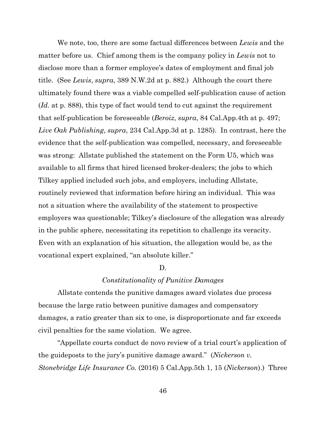We note, too, there are some factual differences between *Lewis* and the matter before us. Chief among them is the company policy in *Lewis* not to disclose more than a former employee's dates of employment and final job title. (See *Lewis*, *supra*, 389 N.W.2d at p. 882.) Although the court there ultimately found there was a viable compelled self-publication cause of action (*Id.* at p. 888), this type of fact would tend to cut against the requirement that self-publication be foreseeable (*Beroiz*, *supra*, 84 Cal.App.4th at p. 497; *Live Oak Publishing*, *supra*, 234 Cal.App.3d at p. 1285). In contrast, here the evidence that the self-publication was compelled, necessary, and foreseeable was strong: Allstate published the statement on the Form U5, which was available to all firms that hired licensed broker-dealers; the jobs to which Tilkey applied included such jobs, and employers, including Allstate, routinely reviewed that information before hiring an individual. This was not a situation where the availability of the statement to prospective employers was questionable; Tilkey's disclosure of the allegation was already in the public sphere, necessitating its repetition to challenge its veracity. Even with an explanation of his situation, the allegation would be, as the vocational expert explained, "an absolute killer."

#### D.

#### *Constitutionality of Punitive Damages*

Allstate contends the punitive damages award violates due process because the large ratio between punitive damages and compensatory damages, a ratio greater than six to one, is disproportionate and far exceeds civil penalties for the same violation. We agree.

"Appellate courts conduct de novo review of a trial court's application of the guideposts to the jury's punitive damage award." (*Nickerson v. Stonebridge Life Insurance Co.* (2016) 5 Cal.App.5th 1, 15 (*Nickerson*).) Three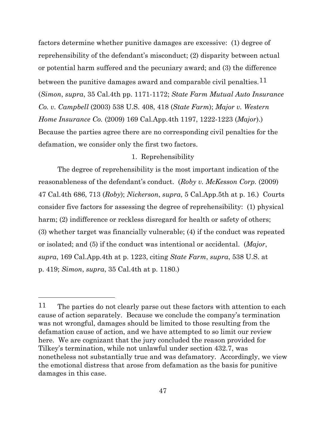factors determine whether punitive damages are excessive: (1) degree of reprehensibility of the defendant's misconduct; (2) disparity between actual or potential harm suffered and the pecuniary award; and (3) the difference between the punitive damages award and comparable civil penalties.  $11$ (*Simon*, *supra*, 35 Cal.4th pp. 1171-1172; *State Farm Mutual Auto Insurance Co. v. Campbell* (2003) 538 U.S. 408, 418 (*State Farm*); *Major v. Western Home Insurance Co.* (2009) 169 Cal.App.4th 1197, 1222-1223 (*Major*).) Because the parties agree there are no corresponding civil penalties for the defamation, we consider only the first two factors.

# 1. Reprehensibility

The degree of reprehensibility is the most important indication of the reasonableness of the defendant's conduct. (*Roby v. McKesson Corp.* (2009) 47 Cal.4th 686, 713 (*Roby*); *Nickerson*, *supra*, 5 Cal.App.5th at p. 16.) Courts consider five factors for assessing the degree of reprehensibility: (1) physical harm; (2) indifference or reckless disregard for health or safety of others; (3) whether target was financially vulnerable; (4) if the conduct was repeated or isolated; and (5) if the conduct was intentional or accidental. (*Major*, *supra*, 169 Cal.App.4th at p. 1223, citing *State Farm*, *supra*, 538 U.S. at p. 419; *Simon*, *supra*, 35 Cal.4th at p. 1180.)

<span id="page-46-0"></span><sup>&</sup>lt;sup>11</sup> The parties do not clearly parse out these factors with attention to each cause of action separately. Because we conclude the company's termination was not wrongful, damages should be limited to those resulting from the defamation cause of action, and we have attempted to so limit our review here. We are cognizant that the jury concluded the reason provided for Tilkey's termination, while not unlawful under section 432.7, was nonetheless not substantially true and was defamatory. Accordingly, we view the emotional distress that arose from defamation as the basis for punitive damages in this case.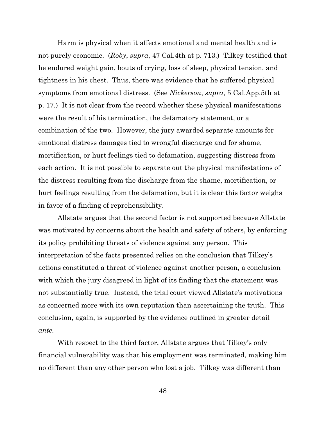Harm is physical when it affects emotional and mental health and is not purely economic. (*Roby*, *supra*, 47 Cal.4th at p. 713.) Tilkey testified that he endured weight gain, bouts of crying, loss of sleep, physical tension, and tightness in his chest. Thus, there was evidence that he suffered physical symptoms from emotional distress. (See *Nickerson*, *supra*, 5 Cal.App.5th at p. 17.) It is not clear from the record whether these physical manifestations were the result of his termination, the defamatory statement, or a combination of the two. However, the jury awarded separate amounts for emotional distress damages tied to wrongful discharge and for shame, mortification, or hurt feelings tied to defamation, suggesting distress from each action. It is not possible to separate out the physical manifestations of the distress resulting from the discharge from the shame, mortification, or hurt feelings resulting from the defamation, but it is clear this factor weighs in favor of a finding of reprehensibility.

Allstate argues that the second factor is not supported because Allstate was motivated by concerns about the health and safety of others, by enforcing its policy prohibiting threats of violence against any person. This interpretation of the facts presented relies on the conclusion that Tilkey's actions constituted a threat of violence against another person, a conclusion with which the jury disagreed in light of its finding that the statement was not substantially true. Instead, the trial court viewed Allstate's motivations as concerned more with its own reputation than ascertaining the truth. This conclusion, again, is supported by the evidence outlined in greater detail *ante*.

With respect to the third factor, Allstate argues that Tilkey's only financial vulnerability was that his employment was terminated, making him no different than any other person who lost a job. Tilkey was different than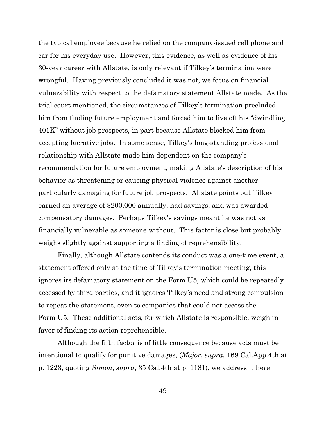the typical employee because he relied on the company-issued cell phone and car for his everyday use. However, this evidence, as well as evidence of his 30-year career with Allstate, is only relevant if Tilkey's termination were wrongful. Having previously concluded it was not, we focus on financial vulnerability with respect to the defamatory statement Allstate made. As the trial court mentioned, the circumstances of Tilkey's termination precluded him from finding future employment and forced him to live off his "dwindling 401K" without job prospects, in part because Allstate blocked him from accepting lucrative jobs. In some sense, Tilkey's long-standing professional relationship with Allstate made him dependent on the company's recommendation for future employment, making Allstate's description of his behavior as threatening or causing physical violence against another particularly damaging for future job prospects. Allstate points out Tilkey earned an average of \$200,000 annually, had savings, and was awarded compensatory damages. Perhaps Tilkey's savings meant he was not as financially vulnerable as someone without. This factor is close but probably weighs slightly against supporting a finding of reprehensibility.

Finally, although Allstate contends its conduct was a one-time event, a statement offered only at the time of Tilkey's termination meeting, this ignores its defamatory statement on the Form U5, which could be repeatedly accessed by third parties, and it ignores Tilkey's need and strong compulsion to repeat the statement, even to companies that could not access the Form U5. These additional acts, for which Allstate is responsible, weigh in favor of finding its action reprehensible.

Although the fifth factor is of little consequence because acts must be intentional to qualify for punitive damages, (*Major*, *supra*, 169 Cal.App.4th at p. 1223, quoting *Simon*, *supra*, 35 Cal.4th at p. 1181), we address it here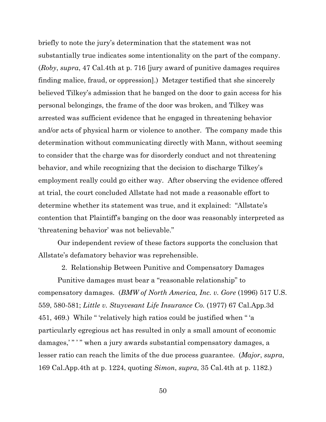briefly to note the jury's determination that the statement was not substantially true indicates some intentionality on the part of the company. (*Roby*, *supra*, 47 Cal.4th at p. 716 [jury award of punitive damages requires finding malice, fraud, or oppression].) Metzger testified that she sincerely believed Tilkey's admission that he banged on the door to gain access for his personal belongings, the frame of the door was broken, and Tilkey was arrested was sufficient evidence that he engaged in threatening behavior and/or acts of physical harm or violence to another. The company made this determination without communicating directly with Mann, without seeming to consider that the charge was for disorderly conduct and not threatening behavior, and while recognizing that the decision to discharge Tilkey's employment really could go either way. After observing the evidence offered at trial, the court concluded Allstate had not made a reasonable effort to determine whether its statement was true, and it explained: "Allstate's contention that Plaintiff's banging on the door was reasonably interpreted as 'threatening behavior' was not believable."

Our independent review of these factors supports the conclusion that Allstate's defamatory behavior was reprehensible.

2. Relationship Between Punitive and Compensatory Damages

Punitive damages must bear a "reasonable relationship" to compensatory damages. (*BMW of North America, Inc. v. Gore* (1996) 517 U.S. 559, 580-581; *Little v. Stuyvesant Life Insurance Co.* (1977) 67 Cal.App.3d 451, 469.) While " 'relatively high ratios could be justified when " 'a particularly egregious act has resulted in only a small amount of economic damages,"" when a jury awards substantial compensatory damages, a lesser ratio can reach the limits of the due process guarantee. (*Major*, *supra*, 169 Cal.App.4th at p. 1224, quoting *Simon*, *supra*, 35 Cal.4th at p. 1182.)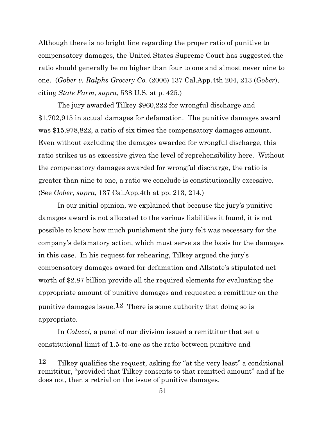Although there is no bright line regarding the proper ratio of punitive to compensatory damages, the United States Supreme Court has suggested the ratio should generally be no higher than four to one and almost never nine to one. (*Gober v. Ralphs Grocery Co.* (2006) 137 Cal.App.4th 204, 213 (*Gober*), citing *State Farm*, *supra*, 538 U.S. at p. 425.)

The jury awarded Tilkey \$960,222 for wrongful discharge and \$1,702,915 in actual damages for defamation. The punitive damages award was \$15,978,822, a ratio of six times the compensatory damages amount. Even without excluding the damages awarded for wrongful discharge, this ratio strikes us as excessive given the level of reprehensibility here. Without the compensatory damages awarded for wrongful discharge, the ratio is greater than nine to one, a ratio we conclude is constitutionally excessive. (See *Gober*, *supra*, 137 Cal.App.4th at pp. 213, 214.)

In our initial opinion, we explained that because the jury's punitive damages award is not allocated to the various liabilities it found, it is not possible to know how much punishment the jury felt was necessary for the company's defamatory action, which must serve as the basis for the damages in this case. In his request for rehearing, Tilkey argued the jury's compensatory damages award for defamation and Allstate's stipulated net worth of \$2.87 billion provide all the required elements for evaluating the appropriate amount of punitive damages and requested a remittitur on the punitive damages issue.<sup>[12](#page-50-0)</sup> There is some authority that doing so is appropriate.

In *Colucci*, a panel of our division issued a remittitur that set a constitutional limit of 1.5-to-one as the ratio between punitive and

<span id="page-50-0"></span><sup>12</sup> Tilkey qualifies the request, asking for "at the very least" a conditional remittitur, "provided that Tilkey consents to that remitted amount" and if he does not, then a retrial on the issue of punitive damages.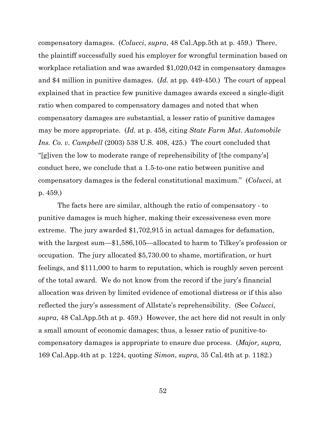compensatory damages. (*Colucci*, *supra*, 48 Cal.App.5th at p. 459.) There, the plaintiff successfully sued his employer for wrongful termination based on workplace retaliation and was awarded \$1,020,042 in compensatory damages and \$4 million in punitive damages. (*Id.* at pp. 449-450.) The court of appeal explained that in practice few punitive damages awards exceed a single-digit ratio when compared to compensatory damages and noted that when compensatory damages are substantial, a lesser ratio of punitive damages may be more appropriate. (*Id.* at p. 458*,* citing *State Farm Mut. Automobile Ins. Co. v. Campbell* (2003) 538 U.S. 408, 425.) The court concluded that "[g]iven the low to moderate range of reprehensibility of [the company's] conduct here, we conclude that a 1.5-to-one ratio between punitive and compensatory damages is the federal constitutional maximum." (*Colucci*, at p. 459*.*)

The facts here are similar, although the ratio of compensatory - to punitive damages is much higher, making their excessiveness even more extreme. The jury awarded \$1,702,915 in actual damages for defamation, with the largest sum—\$1,586,105—allocated to harm to Tilkey's profession or occupation. The jury allocated \$5,730.00 to shame, mortification, or hurt feelings, and \$111,000 to harm to reputation, which is roughly seven percent of the total award. We do not know from the record if the jury's financial allocation was driven by limited evidence of emotional distress or if this also reflected the jury's assessment of Allstate's reprehensibility. (See *Colucci*, *supra*, 48 Cal.App.5th at p. 459.) However, the act here did not result in only a small amount of economic damages; thus, a lesser ratio of punitive-tocompensatory damages is appropriate to ensure due process. (*Major, supra,* 169 Cal.App.4th at p. 1224, quoting *Simon*, *supra*, 35 Cal.4th at p. 1182.)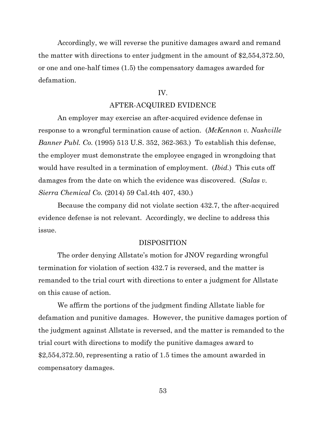Accordingly, we will reverse the punitive damages award and remand the matter with directions to enter judgment in the amount of \$2,554,372.50, or one and one-half times (1.5) the compensatory damages awarded for defamation.

# IV.

### AFTER-ACQUIRED EVIDENCE

An employer may exercise an after-acquired evidence defense in response to a wrongful termination cause of action. (*McKennon v. Nashville Banner Publ. Co.* (1995) 513 U.S. 352, 362-363.) To establish this defense, the employer must demonstrate the employee engaged in wrongdoing that would have resulted in a termination of employment. (*Ibid.*) This cuts off damages from the date on which the evidence was discovered. (*Salas v. Sierra Chemical Co.* (2014) 59 Cal.4th 407, 430.)

Because the company did not violate section 432.7, the after-acquired evidence defense is not relevant. Accordingly, we decline to address this issue.

#### DISPOSITION

The order denying Allstate's motion for JNOV regarding wrongful termination for violation of section 432.7 is reversed, and the matter is remanded to the trial court with directions to enter a judgment for Allstate on this cause of action.

We affirm the portions of the judgment finding Allstate liable for defamation and punitive damages. However, the punitive damages portion of the judgment against Allstate is reversed, and the matter is remanded to the trial court with directions to modify the punitive damages award to \$2,554,372.50, representing a ratio of 1.5 times the amount awarded in compensatory damages.